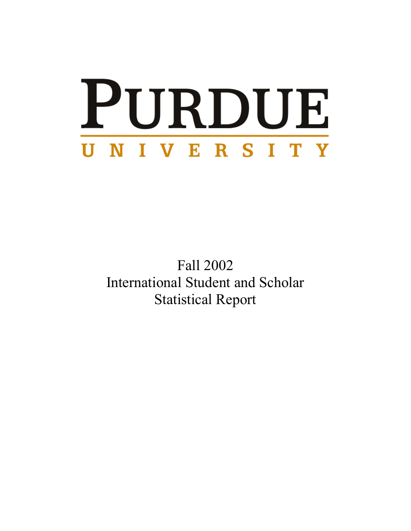# PURDUE UNIVERSITY

Fall 2002 International Student and Scholar Statistical Report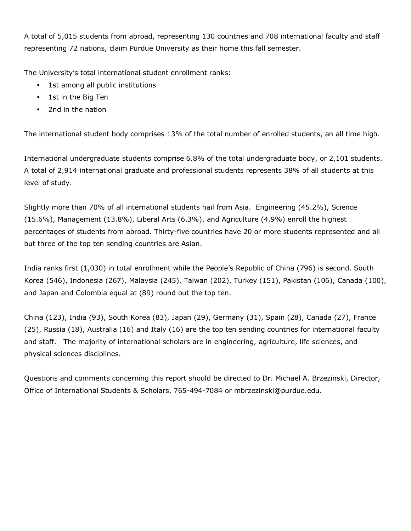A total of 5,015 students from abroad, representing 130 countries and 708 international faculty and staff representing 72 nations, claim Purdue University as their home this fall semester.

The University's total international student enrollment ranks:

- 1st among all public institutions
- 1st in the Big Ten
- 2nd in the nation

The international student body comprises 13% of the total number of enrolled students, an all time high.

International undergraduate students comprise 6.8% of the total undergraduate body, or 2,101 students. A total of 2,914 international graduate and professional students represents 38% of all students at this level of study.

Slightly more than 70% of all international students hail from Asia. Engineering (45.2%), Science (15.6%), Management (13.8%), Liberal Arts (6.3%), and Agriculture (4.9%) enroll the highest percentages of students from abroad. Thirty-five countries have 20 or more students represented and all but three of the top ten sending countries are Asian.

India ranks first (1,030) in total enrollment while the People's Republic of China (796) is second. South Korea (546), Indonesia (267), Malaysia (245), Taiwan (202), Turkey (151), Pakistan (106), Canada (100), and Japan and Colombia equal at (89) round out the top ten.

China (123), India (93), South Korea (83), Japan (29), Germany (31), Spain (28), Canada (27), France (25), Russia (18), Australia (16) and Italy (16) are the top ten sending countries for international faculty and staff. The majority of international scholars are in engineering, agriculture, life sciences, and physical sciences disciplines.

Questions and comments concerning this report should be directed to Dr. Michael A. Brzezinski, Director, Office of International Students & Scholars, 765-494-7084 or mbrzezinski@purdue.edu.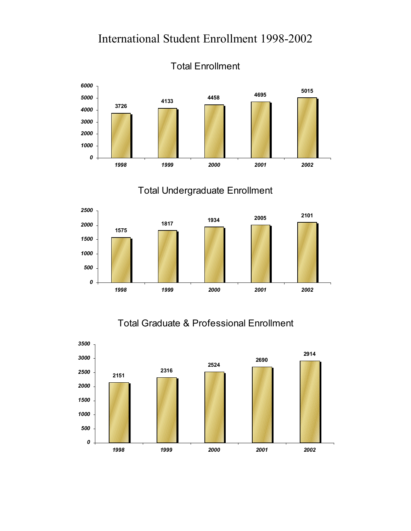

Total Enrollment

### Total Undergraduate Enrollment



### Total Graduate & Professional Enrollment

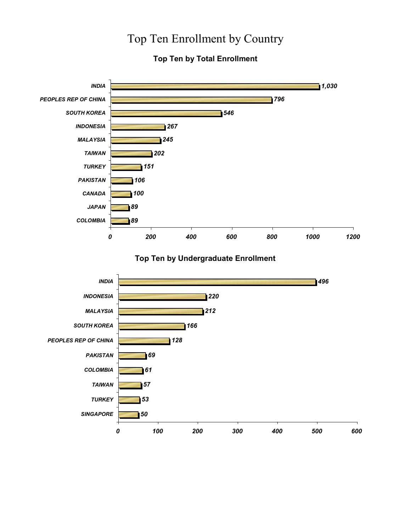## Top Ten Enrollment by Country

#### **Top Ten by Total Enrollment**



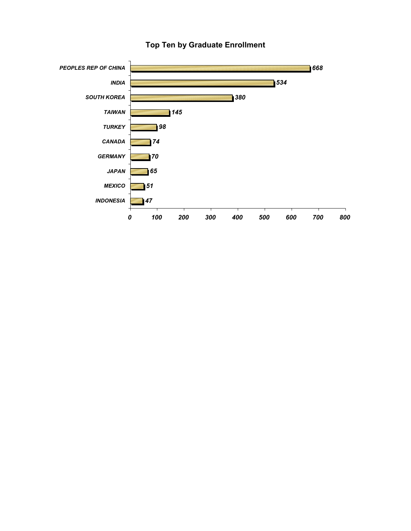

#### **Top Ten by Graduate Enrollment**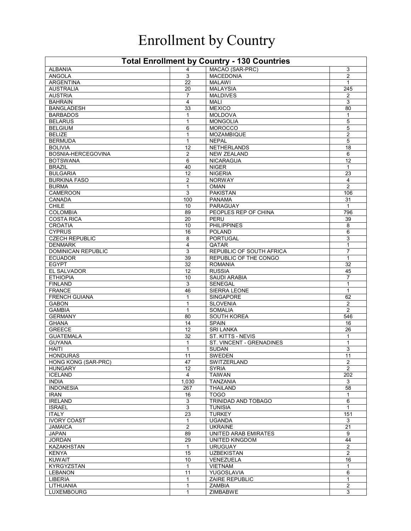## Enrollment by Country

| <b>Total Enrollment by Country - 130 Countries</b> |                     |                                 |                         |  |  |
|----------------------------------------------------|---------------------|---------------------------------|-------------------------|--|--|
| <b>ALBANIA</b>                                     | 4                   | MACAO (SAR-PRC)                 | 3                       |  |  |
| <b>ANGOLA</b>                                      | 3                   | <b>MACEDONIA</b>                | 2                       |  |  |
| <b>ARGENTINA</b>                                   | 22                  | <b>MALAWI</b>                   | 1                       |  |  |
| <b>AUSTRALIA</b>                                   | 20                  | <b>MALAYSIA</b>                 | 245                     |  |  |
| <b>AUSTRIA</b>                                     | 7                   | <b>MALDIVES</b>                 | $\overline{2}$          |  |  |
| <b>BAHRAIN</b>                                     | 4                   | <b>MALI</b>                     | 3                       |  |  |
| <b>BANGLADESH</b>                                  | 33                  | <b>MEXICO</b>                   | 80                      |  |  |
| <b>BARBADOS</b>                                    | 1                   | <b>MOLDOVA</b>                  | $\mathbf{1}$            |  |  |
| <b>BELARUS</b>                                     | 1                   | <b>MONGOLIA</b>                 | 5                       |  |  |
| <b>BELGIUM</b>                                     | 6                   | <b>MOROCCO</b>                  | 5                       |  |  |
| <b>BELIZE</b>                                      | 1                   | <b>MOZAMBIQUE</b>               | $\overline{2}$          |  |  |
| <b>BERMUDA</b>                                     | 1                   | <b>NEPAL</b>                    | 5                       |  |  |
| <b>BOLIVIA</b>                                     | 12                  | NETHERLANDS                     | 18                      |  |  |
| BOSNIA-HERCEGOVINA                                 | 2                   | <b>NEW ZEALAND</b>              | 6                       |  |  |
| <b>BOTSWANA</b>                                    | 6                   | <b>NICARAGUA</b>                | 12                      |  |  |
| <b>BRAZIL</b>                                      | 40                  | <b>NIGER</b>                    | 1                       |  |  |
| <b>BULGARIA</b>                                    | 12                  | <b>NIGERIA</b>                  | 23                      |  |  |
| <b>BURKINA FASO</b>                                | $\overline{2}$      | <b>NORWAY</b>                   | 4                       |  |  |
| <b>BURMA</b>                                       | 1                   | <b>OMAN</b>                     | 2                       |  |  |
| CAMEROON                                           | 3                   | <b>PAKISTAN</b>                 | 106                     |  |  |
| CANADA                                             | 100                 | <b>PANAMA</b>                   | 31                      |  |  |
| <b>CHILE</b>                                       | 10                  | PARAGUAY                        | $\mathbf{1}$            |  |  |
| <b>COLOMBIA</b>                                    | 89                  | PEOPLES REP OF CHINA            | 796                     |  |  |
| <b>COSTA RICA</b>                                  | 20                  | PERU                            | 39                      |  |  |
| <b>CROATIA</b>                                     | 10                  | <b>PHILIPPINES</b>              | 8                       |  |  |
| <b>CYPRUS</b>                                      | 16                  | <b>POLAND</b>                   | 6                       |  |  |
| <b>CZECH REPUBLIC</b>                              | 8                   | PORTUGAL                        | 3                       |  |  |
| <b>DENMARK</b>                                     | 4                   | QATAR                           | $\mathbf{1}$            |  |  |
| <b>DOMINICAN REPUBLIC</b>                          | 3                   | REPUBLIC OF SOUTH AFRICA        | 7                       |  |  |
| <b>ECUADOR</b>                                     | 39                  | REPUBLIC OF THE CONGO           | $\mathbf{1}$            |  |  |
| <b>EGYPT</b>                                       | 32                  | <b>ROMANIA</b>                  | 32                      |  |  |
| <b>EL SALVADOR</b>                                 | 12                  | <b>RUSSIA</b>                   | 45                      |  |  |
| <b>ETHIOPIA</b>                                    | 10                  | <b>SAUDI ARABIA</b>             | $\overline{7}$          |  |  |
| <b>FINLAND</b>                                     | 3                   | <b>SENEGAL</b>                  | 1                       |  |  |
| <b>FRANCE</b>                                      | 46                  | SIERRA LEONE                    | 1                       |  |  |
| <b>FRENCH GUIANA</b>                               | 1                   | <b>SINGAPORE</b>                | 62                      |  |  |
| <b>GABON</b>                                       | 1                   | <b>SLOVENIA</b>                 | 2                       |  |  |
| <b>GAMBIA</b>                                      | 1                   | <b>SOMALIA</b>                  | $\overline{2}$          |  |  |
| <b>GERMANY</b>                                     | 80                  | SOUTH KOREA                     | 546                     |  |  |
| <b>GHANA</b>                                       | 14                  | <b>SPAIN</b>                    | 16                      |  |  |
| <b>GREECE</b>                                      | 12                  | <b>SRI LANKA</b>                | 26                      |  |  |
| <b>GUATEMALA</b>                                   | 32                  | ST. KITTS - NEVIS               | 1                       |  |  |
| <b>GUYANA</b>                                      | 1                   | <b>ST. VINCENT - GRENADINES</b> | 1                       |  |  |
| <b>HAITI</b>                                       | 1                   | <b>SUDAN</b>                    | 3                       |  |  |
| <b>HONDURAS</b>                                    | 11                  | <b>SWEDEN</b>                   | 11                      |  |  |
| HONG KONG (SAR-PRC)                                | 47                  | SWITZERLAND                     | $\overline{\mathbf{c}}$ |  |  |
| <b>HUNGARY</b>                                     | 12                  | <b>SYRIA</b>                    | $\overline{2}$          |  |  |
| <b>ICELAND</b><br><b>INDIA</b>                     | 4                   | <b>TAIWAN</b>                   | 202                     |  |  |
| <b>INDONESIA</b>                                   | 1,030<br>267        | <b>TANZANIA</b><br>THAILAND     | 3<br>58                 |  |  |
| <b>IRAN</b>                                        | 16                  | <b>TOGO</b>                     | $\mathbf{1}$            |  |  |
| <b>IRELAND</b>                                     | 3                   | <b>TRINIDAD AND TOBAGO</b>      | 6                       |  |  |
| <b>ISRAEL</b>                                      | $\overline{3}$      | <b>TUNISIA</b>                  | $\mathbf{1}$            |  |  |
| <b>ITALY</b>                                       | 23                  | <b>TURKEY</b>                   | 151                     |  |  |
| <b>IVORY COAST</b>                                 |                     | <b>UGANDA</b>                   | 3                       |  |  |
| <b>JAMAICA</b>                                     | 1<br>$\overline{2}$ | <b>UKRAINE</b>                  | 21                      |  |  |
| <b>JAPAN</b>                                       | 89                  | UNITED ARAB EMIRATES            | 9                       |  |  |
| <b>JORDAN</b>                                      | 29                  | UNITED KINGDOM                  | 44                      |  |  |
| <b>KAZAKHSTAN</b>                                  | $\mathbf{1}$        | <b>URUGUAY</b>                  | $\overline{2}$          |  |  |
| <b>KENYA</b>                                       | 15                  | <b>UZBEKISTAN</b>               | $\overline{2}$          |  |  |
| <b>KUWAIT</b>                                      | 10                  | VENEZUELA                       | 16                      |  |  |
| <b>KYRGYZSTAN</b>                                  | 1                   | <b>VIETNAM</b>                  | $\mathbf{1}$            |  |  |
| <b>LEBANON</b>                                     | 11                  | YUGOSLAVIA                      | 6                       |  |  |
| LIBERIA                                            | 1                   | <b>ZAIRE REPUBLIC</b>           | $\mathbf{1}$            |  |  |
| LITHUANIA                                          | 1                   | <b>ZAMBIA</b>                   | 2                       |  |  |
| LUXEMBOURG                                         | 1                   | ZIMBABWE                        | 3                       |  |  |
|                                                    |                     |                                 |                         |  |  |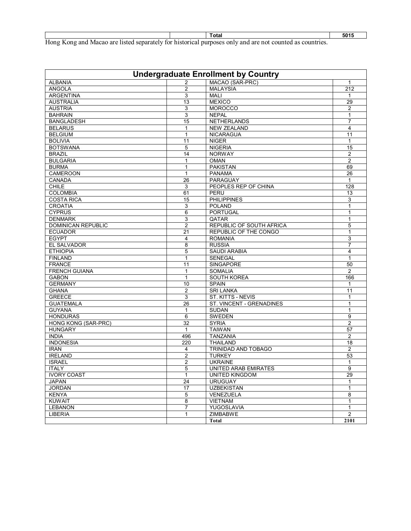| Total                                                                                                    | 5015 |
|----------------------------------------------------------------------------------------------------------|------|
| Hong Kong and Macao are listed separately for historical purposes only and are not counted as countries. |      |

| <b>Undergraduate Enrollment by Country</b> |                 |                                 |                 |  |
|--------------------------------------------|-----------------|---------------------------------|-----------------|--|
| <b>ALBANIA</b>                             | 2               | MACAO (SAR-PRC)                 |                 |  |
| <b>ANGOLA</b>                              | $\overline{2}$  | <b>MALAYSIA</b>                 | 212             |  |
| <b>ARGENTINA</b>                           | 3               | <b>MALI</b>                     | 1               |  |
| <b>AUSTRALIA</b>                           | 13              | <b>MEXICO</b>                   | 29              |  |
| <b>AUSTRIA</b>                             | 3               | <b>MOROCCO</b>                  | $\overline{2}$  |  |
| <b>BAHRAIN</b>                             | 3               | <b>NEPAL</b>                    | 1               |  |
| <b>BANGLADESH</b>                          | 15              | <b>NETHERLANDS</b>              | 7               |  |
| <b>BELARUS</b>                             | 1               | <b>NEW ZEALAND</b>              | 4               |  |
| <b>BELGIUM</b>                             | 1               | <b>NICARAGUA</b>                | 11              |  |
| <b>BOLIVIA</b>                             | 11              | <b>NIGER</b>                    | 1               |  |
| <b>BOTSWANA</b>                            |                 | <b>NIGERIA</b>                  |                 |  |
|                                            | 5               |                                 | 15              |  |
| <b>BRAZIL</b>                              | 14              | <b>NORWAY</b>                   | 2               |  |
| <b>BULGARIA</b>                            | $\mathbf{1}$    | <b>OMAN</b>                     | $\overline{2}$  |  |
| <b>BURMA</b>                               | 1               | <b>PAKISTAN</b>                 | 69              |  |
| CAMEROON                                   | $\mathbf{1}$    | <b>PANAMA</b>                   | 26              |  |
| <b>CANADA</b>                              | 26              | PARAGUAY                        | $\mathbf{1}$    |  |
| <b>CHILE</b>                               | 3               | PEOPLES REP OF CHINA            | 128             |  |
| <b>COLOMBIA</b>                            | 61              | PERU                            | 13              |  |
| <b>COSTA RICA</b>                          | 15              | <b>PHILIPPINES</b>              | 3               |  |
| <b>CROATIA</b>                             | 3               | <b>POLAND</b>                   | 1               |  |
| <b>CYPRUS</b>                              | 6               | <b>PORTUGAL</b>                 | $\mathbf{1}$    |  |
| <b>DENMARK</b>                             | 3               | QATAR                           | 1               |  |
| <b>DOMINICAN REPUBLIC</b>                  | $\overline{2}$  | <b>REPUBLIC OF SOUTH AFRICA</b> | 5               |  |
| <b>ECUADOR</b>                             | 21              | <b>REPUBLIC OF THE CONGO</b>    | $\mathbf{1}$    |  |
| <b>EGYPT</b>                               | 4               | <b>ROMANIA</b>                  | 3               |  |
| <b>EL SALVADOR</b>                         | 8               | <b>RUSSIA</b>                   | $\overline{7}$  |  |
| <b>ETHIOPIA</b>                            | 5               | <b>SAUDI ARABIA</b>             | 4               |  |
| <b>FINLAND</b>                             | $\mathbf{1}$    | <b>SENEGAL</b>                  | 1               |  |
| <b>FRANCE</b>                              | 11              | <b>SINGAPORE</b>                | 50              |  |
| <b>FRENCH GUIANA</b>                       | $\mathbf{1}$    | <b>SOMALIA</b>                  | $\overline{2}$  |  |
| <b>GABON</b>                               | $\mathbf{1}$    | SOUTH KOREA                     | 166             |  |
| <b>GERMANY</b>                             | 10              | <b>SPAIN</b>                    |                 |  |
|                                            |                 |                                 | 1               |  |
| <b>GHANA</b>                               | $\overline{c}$  | <b>SRI LANKA</b>                | 11              |  |
| <b>GREECE</b>                              | 3               | ST. KITTS - NEVIS               | 1               |  |
| <b>GUATEMALA</b>                           | $\overline{26}$ | ST. VINCENT - GRENADINES        | 1               |  |
| <b>GUYANA</b>                              | $\mathbf{1}$    | <b>SUDAN</b>                    | 1               |  |
| <b>HONDURAS</b>                            | 6               | <b>SWEDEN</b>                   | 9               |  |
| HONG KONG (SAR-PRC)                        | 32              | <b>SYRIA</b>                    | 2               |  |
| <b>HUNGARY</b>                             | $\mathbf{1}$    | <b>TAIWAN</b>                   | $\overline{57}$ |  |
| <b>INDIA</b>                               | 496             | <b>TANZANIA</b>                 | $\overline{2}$  |  |
| <b>INDONESIA</b>                           | 220             | <b>THAILAND</b>                 | 18              |  |
| <b>IRAN</b>                                | 4               | TRINIDAD AND TOBAGO             | $\overline{2}$  |  |
| <b>IRELAND</b>                             | $\overline{2}$  | <b>TURKEY</b>                   | 53              |  |
| <b>ISRAEL</b>                              | $\overline{2}$  | <b>UKRAINE</b>                  | $\mathbf{1}$    |  |
| <b>ITALY</b>                               | 5               | <b>UNITED ARAB EMIRATES</b>     | 9               |  |
| <b>IVORY COAST</b>                         | $\mathbf{1}$    | <b>UNITED KINGDOM</b>           | 29              |  |
| <b>JAPAN</b>                               | 24              | <b>URUGUAY</b>                  | $\mathbf{1}$    |  |
| <b>JORDAN</b>                              | 17              | <b>UZBEKISTAN</b>               | 1               |  |
| <b>KENYA</b>                               | 5               | VENEZUELA                       | 8               |  |
| <b>KUWAIT</b>                              | 8               | <b>VIETNAM</b>                  | $\mathbf{1}$    |  |
| <b>LEBANON</b>                             | 7               | YUGOSLAVIA                      | 1               |  |
| LIBERIA                                    | $\mathbf{1}$    | ZIMBABWE                        | $\overline{2}$  |  |
|                                            |                 | Total                           | 2101            |  |
|                                            |                 |                                 |                 |  |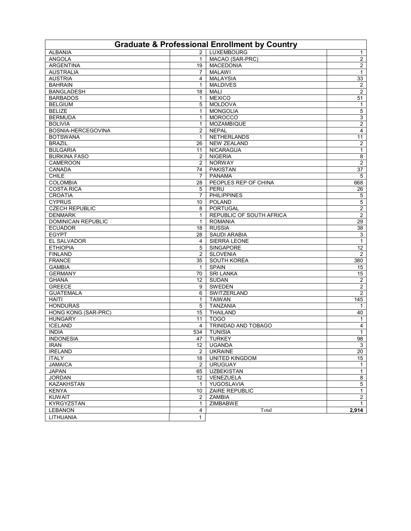| <b>Graduate &amp; Professional Enrollment by Country</b> |                 |                                 |                         |  |  |
|----------------------------------------------------------|-----------------|---------------------------------|-------------------------|--|--|
| <b>ALBANIA</b>                                           | $\overline{2}$  | <b>LUXEMBOURG</b>               | 1                       |  |  |
| ANGOLA                                                   | $\mathbf{1}$    | MACAO (SAR-PRC)                 | $\overline{c}$          |  |  |
| <b>ARGENTINA</b>                                         | 19              | <b>MACEDONIA</b>                | $\overline{a}$          |  |  |
| <b>AUSTRALIA</b>                                         | 7               | <b>MALAWI</b>                   | 1                       |  |  |
| <b>AUSTRIA</b>                                           | 4               | <b>MALAYSIA</b>                 | 33                      |  |  |
| <b>BAHRAIN</b>                                           | $\mathbf{1}$    | <b>MALDIVES</b>                 | $\overline{2}$          |  |  |
| <b>BANGLADESH</b>                                        | 18              | <b>MALI</b>                     | $\overline{c}$          |  |  |
| <b>BARBADOS</b>                                          | 1               | <b>MEXICO</b>                   | 51                      |  |  |
| <b>BELGIUM</b>                                           | 5               | <b>MOLDOVA</b>                  | 1                       |  |  |
| <b>BELIZE</b>                                            | $\mathbf{1}$    | <b>MONGOLIA</b>                 | 5                       |  |  |
| <b>BERMUDA</b>                                           | $\mathbf{1}$    | <b>MOROCCO</b>                  | 3                       |  |  |
| <b>BOLIVIA</b>                                           | 1               | <b>MOZAMBIQUE</b>               | $\overline{a}$          |  |  |
| BOSNIA-HERCEGOVINA                                       | $\overline{2}$  | <b>NEPAL</b>                    | $\overline{4}$          |  |  |
| <b>BOTSWANA</b>                                          | 1               | NETHERLANDS                     | 11                      |  |  |
| <b>BRAZIL</b>                                            | 26              | <b>NEW ZEALAND</b>              | $\overline{c}$          |  |  |
| <b>BULGARIA</b>                                          | 11              | <b>NICARAGUA</b>                | 1                       |  |  |
| <b>BURKINA FASO</b>                                      | $\overline{2}$  | <b>NIGERIA</b>                  | 8                       |  |  |
| <b>CAMEROON</b>                                          | $\overline{2}$  | <b>NORWAY</b>                   | $\overline{c}$          |  |  |
| CANADA                                                   | 74              | <b>PAKISTAN</b>                 | 37                      |  |  |
| <b>CHILE</b>                                             | 7               | <b>PANAMA</b>                   | 5                       |  |  |
| <b>COLOMBIA</b>                                          | 28              | PEOPLES REP OF CHINA            | 668                     |  |  |
| <b>COSTA RICA</b>                                        | 5               | PERU                            | 26                      |  |  |
| <b>CROATIA</b>                                           | $\overline{7}$  | <b>PHILIPPINES</b>              | 5                       |  |  |
| <b>CYPRUS</b>                                            | 10              | <b>POLAND</b>                   | 5                       |  |  |
| <b>CZECH REPUBLIC</b>                                    | 8               | <b>PORTUGAL</b>                 | $\overline{2}$          |  |  |
| <b>DENMARK</b>                                           | 1               | <b>REPUBLIC OF SOUTH AFRICA</b> | $\overline{2}$          |  |  |
| DOMINICAN REPUBLIC                                       | 1               | <b>ROMANIA</b>                  | 29                      |  |  |
| <b>ECUADOR</b>                                           | 18              | <b>RUSSIA</b>                   | $\overline{38}$         |  |  |
| <b>EGYPT</b>                                             | 28              | <b>SAUDI ARABIA</b>             | 3                       |  |  |
| EL SALVADOR                                              | 4               | SIERRA LEONE                    | $\mathbf{1}$            |  |  |
| <b>ETHIOPIA</b>                                          | 5               | <b>SINGAPORE</b>                | 12                      |  |  |
| <b>FINLAND</b>                                           | $\overline{2}$  | <b>SLOVENIA</b>                 | 2                       |  |  |
| <b>FRANCE</b>                                            | 35              | SOUTH KOREA                     | 380                     |  |  |
| <b>GAMBIA</b>                                            | $\mathbf{1}$    | <b>SPAIN</b>                    | 15                      |  |  |
| <b>GERMANY</b>                                           | 70              | <b>SRI LANKA</b>                | 15                      |  |  |
| <b>GHANA</b>                                             | 12              | <b>SUDAN</b>                    | $\overline{\mathbf{c}}$ |  |  |
| <b>GREECE</b>                                            | 9               | SWEDEN                          | $\overline{\mathbf{c}}$ |  |  |
| <b>GUATEMALA</b>                                         | 6               | SWITZERLAND                     | $\overline{c}$          |  |  |
| <b>HAITI</b>                                             | 1               | <b>TAIWAN</b>                   | 145                     |  |  |
| <b>HONDURAS</b>                                          | 5               | <b>TANZANIA</b>                 | 1                       |  |  |
| HONG KONG (SAR-PRC)                                      | 15              | <b>THAILAND</b>                 | 40                      |  |  |
| <b>HUNGARY</b>                                           | 11              | <b>TOGO</b>                     | $\mathbf{1}$            |  |  |
| <b>ICELAND</b>                                           | 4               | TRINIDAD AND TOBAGO             | 4                       |  |  |
| <b>INDIA</b>                                             | 534             | <b>TUNISIA</b>                  | $\mathbf{1}$            |  |  |
| <b>INDONESIA</b>                                         | 47              | <b>TURKEY</b>                   | 98                      |  |  |
| <b>IRAN</b>                                              | 12              | <b>UGANDA</b>                   | 3                       |  |  |
| <b>IRELAND</b>                                           | $\overline{2}$  | <b>UKRAINE</b>                  | 20                      |  |  |
| <b>ITALY</b>                                             | 18              | <b>UNITED KINGDOM</b>           | 15                      |  |  |
| <b>JAMAICA</b>                                           | $\overline{2}$  | <b>URUGUAY</b>                  | $\mathbf{1}$            |  |  |
| <b>JAPAN</b>                                             | 65              | <b>UZBEKISTAN</b>               | $\mathbf{1}$            |  |  |
| <b>JORDAN</b>                                            | 12 <sup>°</sup> | VENEZUELA                       | 8                       |  |  |
| <b>KAZAKHSTAN</b>                                        | 1               | YUGOSLAVIA                      | 5                       |  |  |
| <b>KENYA</b>                                             | 10              | <b>ZAIRE REPUBLIC</b>           | $\mathbf{1}$            |  |  |
| <b>KUWAIT</b>                                            | $\overline{2}$  | ZAMBIA                          | $\overline{2}$          |  |  |
| <b>KYRGYZSTAN</b>                                        | 1               | <b>ZIMBABWE</b>                 | $\mathbf{1}$            |  |  |
| <b>LEBANON</b>                                           | 4               | Total                           | 2,914                   |  |  |
| LITHUANIA                                                | $\mathbf{1}$    |                                 |                         |  |  |
|                                                          |                 |                                 |                         |  |  |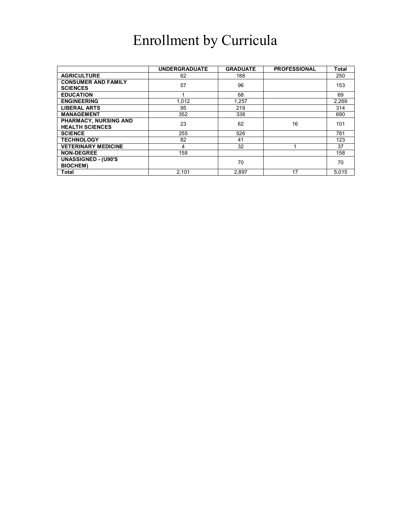## Enrollment by Curricula

|                            | <b>UNDERGRADUATE</b> | <b>GRADUATE</b> | <b>PROFESSIONAL</b> | Total |
|----------------------------|----------------------|-----------------|---------------------|-------|
|                            |                      |                 |                     |       |
| <b>AGRICULTURE</b>         | 62                   | 188             |                     | 250   |
| <b>CONSUMER AND FAMILY</b> |                      |                 |                     |       |
| <b>SCIENCES</b>            | 57                   | 96              |                     | 153   |
| <b>EDUCATION</b>           |                      | 68              |                     | 69    |
| <b>ENGINEERING</b>         | 1.012                | 1.257           |                     | 2,269 |
| <b>LIBERAL ARTS</b>        | 95                   | 219             |                     | 314   |
| <b>MANAGEMENT</b>          | 352                  | 338             |                     | 690   |
| PHARMACY, NURSING AND      | 23                   | 62              | 16                  | 101   |
| <b>HEALTH SCIENCES</b>     |                      |                 |                     |       |
| <b>SCIENCE</b>             | 255                  | 526             |                     | 781   |
| <b>TECHNOLOGY</b>          | 82                   | 41              |                     | 123   |
| <b>VETERINARY MEDICINE</b> | 4                    | 32              |                     | 37    |
| <b>NON-DEGREE</b>          | 158                  |                 |                     | 158   |
| <b>UNASSIGNED - (U90'S</b> |                      | 70              |                     | 70    |
| <b>BIOCHEM)</b>            |                      |                 |                     |       |
| Total                      | 2.101                | 2.897           | 17                  | 5,015 |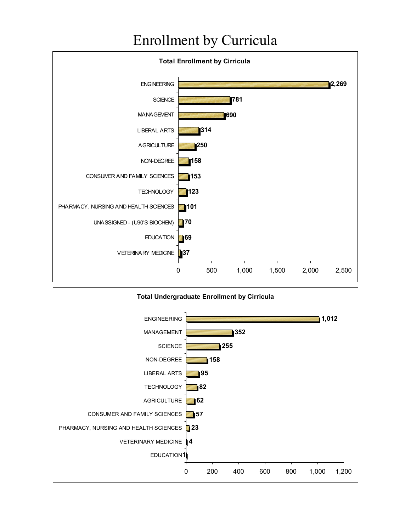## Enrollment by Curricula



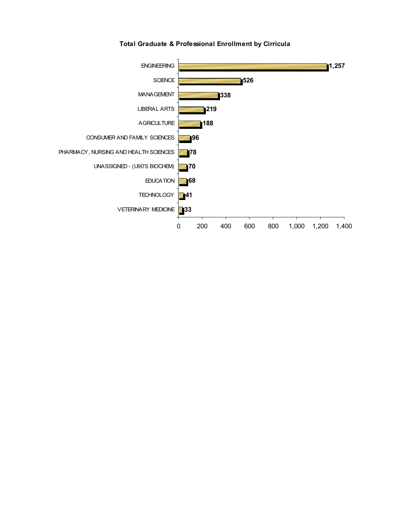

**Total Graduate & Professional Enrollment by Cirricula**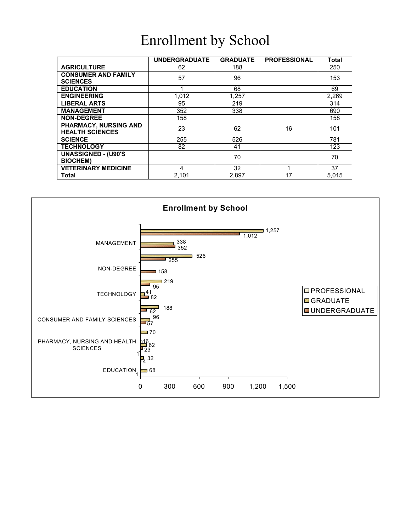## Enrollment by School

|                                                        | <b>UNDERGRADUATE</b> | <b>GRADUATE</b> | <b>PROFESSIONAL</b> | <b>Total</b> |
|--------------------------------------------------------|----------------------|-----------------|---------------------|--------------|
| <b>AGRICULTURE</b>                                     | 62                   | 188             |                     | 250          |
| <b>CONSUMER AND FAMILY</b><br><b>SCIENCES</b>          | 57                   | 96              |                     | 153          |
| <b>EDUCATION</b>                                       |                      | 68              |                     | 69           |
| <b>ENGINEERING</b>                                     | 1,012                | 1,257           |                     | 2,269        |
| <b>LIBERAL ARTS</b>                                    | 95                   | 219             |                     | 314          |
| <b>MANAGEMENT</b>                                      | 352                  | 338             |                     | 690          |
| <b>NON-DEGREE</b>                                      | 158                  |                 |                     | 158          |
| <b>PHARMACY, NURSING AND</b><br><b>HEALTH SCIENCES</b> | 23                   | 62              | 16                  | 101          |
| <b>SCIENCE</b>                                         | 255                  | 526             |                     | 781          |
| <b>TECHNOLOGY</b>                                      | 82                   | 41              |                     | 123          |
| <b>UNASSIGNED - (U90'S</b><br><b>BIOCHEM)</b>          |                      | 70              |                     | 70           |
| <b>VETERINARY MEDICINE</b>                             | 4                    | 32              |                     | 37           |
| Total                                                  | 2,101                | 2,897           | 17                  | 5.015        |

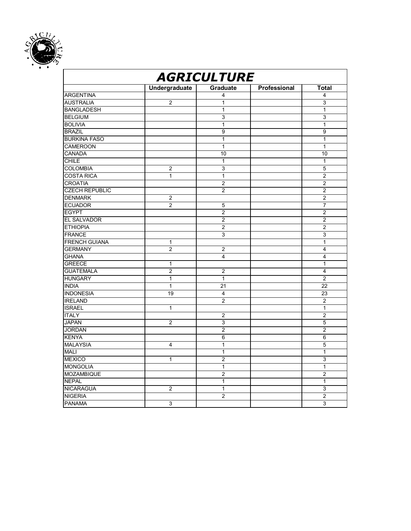

| <b>Undergraduate</b><br>Graduate<br>Professional<br>Total<br><b>ARGENTINA</b><br>$\overline{\mathbf{4}}$<br>4<br><b>AUSTRALIA</b><br>$\overline{c}$<br>3<br>1<br>$\overline{1}$<br><b>BANGLADESH</b><br>$\mathbf{1}$<br><b>BELGIUM</b><br>$\overline{3}$<br>3<br><b>BOLIVIA</b><br>$\mathbf{1}$<br>$\mathbf{1}$<br><b>BRAZIL</b><br>9<br>9<br><b>BURKINA FASO</b><br>$\mathbf{1}$<br>$\mathbf{1}$<br><b>CAMEROON</b><br>$\mathbf{1}$<br>$\mathbf{1}$<br><b>CANADA</b><br>10<br>10<br><b>CHILE</b><br>$\mathbf{1}$<br>1<br><b>COLOMBIA</b><br>3<br>5<br>$\overline{2}$<br><b>COSTA RICA</b><br>1<br>$\mathbf{1}$<br>$\overline{2}$<br><b>CROATIA</b><br>$\overline{c}$<br>$\overline{2}$<br><b>CZECH REPUBLIC</b><br>$\overline{2}$<br>$\overline{2}$<br><b>DENMARK</b><br>$\overline{2}$<br>$\overline{c}$<br><b>ECUADOR</b><br>$\overline{2}$<br>$\overline{7}$<br>5<br><b>EGYPT</b><br>$\overline{2}$<br>$\overline{2}$<br><b>EL SALVADOR</b><br>$\overline{2}$<br>$\overline{2}$<br><b>ETHIOPIA</b><br>$\overline{2}$<br>$\overline{2}$<br><b>FRANCE</b><br>$\overline{3}$<br>$\overline{3}$<br><b>FRENCH GUIANA</b><br>$\mathbf{1}$<br>$\mathbf{1}$<br><b>GERMANY</b><br>$\overline{2}$<br>$\overline{2}$<br>$\overline{\mathbf{4}}$<br><b>GHANA</b><br>4<br>$\overline{4}$<br><b>GREECE</b><br>1<br>$\mathbf{1}$<br><b>GUATEMALA</b><br>$\overline{2}$<br>$\overline{2}$<br>$\overline{\mathbf{4}}$<br><b>HUNGARY</b><br>1<br>$\mathbf{1}$<br>$\overline{c}$<br><b>INDIA</b><br>$\mathbf{1}$<br>21<br>22<br><b>INDONESIA</b><br>19<br>23<br>4<br><b>IRELAND</b><br>$\overline{2}$<br>$\overline{c}$<br><b>ISRAEL</b><br>$\mathbf{1}$<br>$\mathbf{1}$<br><b>ITALY</b><br>2<br>2<br><b>JAPAN</b><br>$\overline{2}$<br>3<br>5<br><b>JORDAN</b><br>$\overline{2}$<br>$\overline{c}$<br><b>KENYA</b><br>6<br>6<br>$\overline{5}$<br><b>MALAYSIA</b><br>$\mathbf{1}$<br>4<br><b>MALI</b><br>$\mathbf{1}$<br>$\mathbf{1}$<br><b>MEXICO</b><br>$\overline{c}$<br>3<br>1<br><b>MONGOLIA</b><br>$\mathbf{1}$<br>1<br><b>MOZAMBIQUE</b><br>$\overline{2}$<br>$\overline{c}$<br><b>NEPAL</b><br>$\overline{1}$<br>$\overline{1}$<br><b>NICARAGUA</b><br>$\mathbf{1}$<br>3<br>2<br><b>NIGERIA</b><br>$\overline{2}$<br>$\overline{c}$<br><b>PANAMA</b><br>3<br>3 | <b>AGRICULTURE</b> |  |  |  |  |  |
|----------------------------------------------------------------------------------------------------------------------------------------------------------------------------------------------------------------------------------------------------------------------------------------------------------------------------------------------------------------------------------------------------------------------------------------------------------------------------------------------------------------------------------------------------------------------------------------------------------------------------------------------------------------------------------------------------------------------------------------------------------------------------------------------------------------------------------------------------------------------------------------------------------------------------------------------------------------------------------------------------------------------------------------------------------------------------------------------------------------------------------------------------------------------------------------------------------------------------------------------------------------------------------------------------------------------------------------------------------------------------------------------------------------------------------------------------------------------------------------------------------------------------------------------------------------------------------------------------------------------------------------------------------------------------------------------------------------------------------------------------------------------------------------------------------------------------------------------------------------------------------------------------------------------------------------------------------------------------------------------------------------------------------------------------------------------------------------------------------------------------------------------------------------------------------------------------------------------------------------------------------|--------------------|--|--|--|--|--|
|                                                                                                                                                                                                                                                                                                                                                                                                                                                                                                                                                                                                                                                                                                                                                                                                                                                                                                                                                                                                                                                                                                                                                                                                                                                                                                                                                                                                                                                                                                                                                                                                                                                                                                                                                                                                                                                                                                                                                                                                                                                                                                                                                                                                                                                          |                    |  |  |  |  |  |
|                                                                                                                                                                                                                                                                                                                                                                                                                                                                                                                                                                                                                                                                                                                                                                                                                                                                                                                                                                                                                                                                                                                                                                                                                                                                                                                                                                                                                                                                                                                                                                                                                                                                                                                                                                                                                                                                                                                                                                                                                                                                                                                                                                                                                                                          |                    |  |  |  |  |  |
|                                                                                                                                                                                                                                                                                                                                                                                                                                                                                                                                                                                                                                                                                                                                                                                                                                                                                                                                                                                                                                                                                                                                                                                                                                                                                                                                                                                                                                                                                                                                                                                                                                                                                                                                                                                                                                                                                                                                                                                                                                                                                                                                                                                                                                                          |                    |  |  |  |  |  |
|                                                                                                                                                                                                                                                                                                                                                                                                                                                                                                                                                                                                                                                                                                                                                                                                                                                                                                                                                                                                                                                                                                                                                                                                                                                                                                                                                                                                                                                                                                                                                                                                                                                                                                                                                                                                                                                                                                                                                                                                                                                                                                                                                                                                                                                          |                    |  |  |  |  |  |
|                                                                                                                                                                                                                                                                                                                                                                                                                                                                                                                                                                                                                                                                                                                                                                                                                                                                                                                                                                                                                                                                                                                                                                                                                                                                                                                                                                                                                                                                                                                                                                                                                                                                                                                                                                                                                                                                                                                                                                                                                                                                                                                                                                                                                                                          |                    |  |  |  |  |  |
|                                                                                                                                                                                                                                                                                                                                                                                                                                                                                                                                                                                                                                                                                                                                                                                                                                                                                                                                                                                                                                                                                                                                                                                                                                                                                                                                                                                                                                                                                                                                                                                                                                                                                                                                                                                                                                                                                                                                                                                                                                                                                                                                                                                                                                                          |                    |  |  |  |  |  |
|                                                                                                                                                                                                                                                                                                                                                                                                                                                                                                                                                                                                                                                                                                                                                                                                                                                                                                                                                                                                                                                                                                                                                                                                                                                                                                                                                                                                                                                                                                                                                                                                                                                                                                                                                                                                                                                                                                                                                                                                                                                                                                                                                                                                                                                          |                    |  |  |  |  |  |
|                                                                                                                                                                                                                                                                                                                                                                                                                                                                                                                                                                                                                                                                                                                                                                                                                                                                                                                                                                                                                                                                                                                                                                                                                                                                                                                                                                                                                                                                                                                                                                                                                                                                                                                                                                                                                                                                                                                                                                                                                                                                                                                                                                                                                                                          |                    |  |  |  |  |  |
|                                                                                                                                                                                                                                                                                                                                                                                                                                                                                                                                                                                                                                                                                                                                                                                                                                                                                                                                                                                                                                                                                                                                                                                                                                                                                                                                                                                                                                                                                                                                                                                                                                                                                                                                                                                                                                                                                                                                                                                                                                                                                                                                                                                                                                                          |                    |  |  |  |  |  |
|                                                                                                                                                                                                                                                                                                                                                                                                                                                                                                                                                                                                                                                                                                                                                                                                                                                                                                                                                                                                                                                                                                                                                                                                                                                                                                                                                                                                                                                                                                                                                                                                                                                                                                                                                                                                                                                                                                                                                                                                                                                                                                                                                                                                                                                          |                    |  |  |  |  |  |
|                                                                                                                                                                                                                                                                                                                                                                                                                                                                                                                                                                                                                                                                                                                                                                                                                                                                                                                                                                                                                                                                                                                                                                                                                                                                                                                                                                                                                                                                                                                                                                                                                                                                                                                                                                                                                                                                                                                                                                                                                                                                                                                                                                                                                                                          |                    |  |  |  |  |  |
|                                                                                                                                                                                                                                                                                                                                                                                                                                                                                                                                                                                                                                                                                                                                                                                                                                                                                                                                                                                                                                                                                                                                                                                                                                                                                                                                                                                                                                                                                                                                                                                                                                                                                                                                                                                                                                                                                                                                                                                                                                                                                                                                                                                                                                                          |                    |  |  |  |  |  |
|                                                                                                                                                                                                                                                                                                                                                                                                                                                                                                                                                                                                                                                                                                                                                                                                                                                                                                                                                                                                                                                                                                                                                                                                                                                                                                                                                                                                                                                                                                                                                                                                                                                                                                                                                                                                                                                                                                                                                                                                                                                                                                                                                                                                                                                          |                    |  |  |  |  |  |
|                                                                                                                                                                                                                                                                                                                                                                                                                                                                                                                                                                                                                                                                                                                                                                                                                                                                                                                                                                                                                                                                                                                                                                                                                                                                                                                                                                                                                                                                                                                                                                                                                                                                                                                                                                                                                                                                                                                                                                                                                                                                                                                                                                                                                                                          |                    |  |  |  |  |  |
|                                                                                                                                                                                                                                                                                                                                                                                                                                                                                                                                                                                                                                                                                                                                                                                                                                                                                                                                                                                                                                                                                                                                                                                                                                                                                                                                                                                                                                                                                                                                                                                                                                                                                                                                                                                                                                                                                                                                                                                                                                                                                                                                                                                                                                                          |                    |  |  |  |  |  |
|                                                                                                                                                                                                                                                                                                                                                                                                                                                                                                                                                                                                                                                                                                                                                                                                                                                                                                                                                                                                                                                                                                                                                                                                                                                                                                                                                                                                                                                                                                                                                                                                                                                                                                                                                                                                                                                                                                                                                                                                                                                                                                                                                                                                                                                          |                    |  |  |  |  |  |
|                                                                                                                                                                                                                                                                                                                                                                                                                                                                                                                                                                                                                                                                                                                                                                                                                                                                                                                                                                                                                                                                                                                                                                                                                                                                                                                                                                                                                                                                                                                                                                                                                                                                                                                                                                                                                                                                                                                                                                                                                                                                                                                                                                                                                                                          |                    |  |  |  |  |  |
|                                                                                                                                                                                                                                                                                                                                                                                                                                                                                                                                                                                                                                                                                                                                                                                                                                                                                                                                                                                                                                                                                                                                                                                                                                                                                                                                                                                                                                                                                                                                                                                                                                                                                                                                                                                                                                                                                                                                                                                                                                                                                                                                                                                                                                                          |                    |  |  |  |  |  |
|                                                                                                                                                                                                                                                                                                                                                                                                                                                                                                                                                                                                                                                                                                                                                                                                                                                                                                                                                                                                                                                                                                                                                                                                                                                                                                                                                                                                                                                                                                                                                                                                                                                                                                                                                                                                                                                                                                                                                                                                                                                                                                                                                                                                                                                          |                    |  |  |  |  |  |
|                                                                                                                                                                                                                                                                                                                                                                                                                                                                                                                                                                                                                                                                                                                                                                                                                                                                                                                                                                                                                                                                                                                                                                                                                                                                                                                                                                                                                                                                                                                                                                                                                                                                                                                                                                                                                                                                                                                                                                                                                                                                                                                                                                                                                                                          |                    |  |  |  |  |  |
|                                                                                                                                                                                                                                                                                                                                                                                                                                                                                                                                                                                                                                                                                                                                                                                                                                                                                                                                                                                                                                                                                                                                                                                                                                                                                                                                                                                                                                                                                                                                                                                                                                                                                                                                                                                                                                                                                                                                                                                                                                                                                                                                                                                                                                                          |                    |  |  |  |  |  |
|                                                                                                                                                                                                                                                                                                                                                                                                                                                                                                                                                                                                                                                                                                                                                                                                                                                                                                                                                                                                                                                                                                                                                                                                                                                                                                                                                                                                                                                                                                                                                                                                                                                                                                                                                                                                                                                                                                                                                                                                                                                                                                                                                                                                                                                          |                    |  |  |  |  |  |
|                                                                                                                                                                                                                                                                                                                                                                                                                                                                                                                                                                                                                                                                                                                                                                                                                                                                                                                                                                                                                                                                                                                                                                                                                                                                                                                                                                                                                                                                                                                                                                                                                                                                                                                                                                                                                                                                                                                                                                                                                                                                                                                                                                                                                                                          |                    |  |  |  |  |  |
|                                                                                                                                                                                                                                                                                                                                                                                                                                                                                                                                                                                                                                                                                                                                                                                                                                                                                                                                                                                                                                                                                                                                                                                                                                                                                                                                                                                                                                                                                                                                                                                                                                                                                                                                                                                                                                                                                                                                                                                                                                                                                                                                                                                                                                                          |                    |  |  |  |  |  |
|                                                                                                                                                                                                                                                                                                                                                                                                                                                                                                                                                                                                                                                                                                                                                                                                                                                                                                                                                                                                                                                                                                                                                                                                                                                                                                                                                                                                                                                                                                                                                                                                                                                                                                                                                                                                                                                                                                                                                                                                                                                                                                                                                                                                                                                          |                    |  |  |  |  |  |
|                                                                                                                                                                                                                                                                                                                                                                                                                                                                                                                                                                                                                                                                                                                                                                                                                                                                                                                                                                                                                                                                                                                                                                                                                                                                                                                                                                                                                                                                                                                                                                                                                                                                                                                                                                                                                                                                                                                                                                                                                                                                                                                                                                                                                                                          |                    |  |  |  |  |  |
|                                                                                                                                                                                                                                                                                                                                                                                                                                                                                                                                                                                                                                                                                                                                                                                                                                                                                                                                                                                                                                                                                                                                                                                                                                                                                                                                                                                                                                                                                                                                                                                                                                                                                                                                                                                                                                                                                                                                                                                                                                                                                                                                                                                                                                                          |                    |  |  |  |  |  |
|                                                                                                                                                                                                                                                                                                                                                                                                                                                                                                                                                                                                                                                                                                                                                                                                                                                                                                                                                                                                                                                                                                                                                                                                                                                                                                                                                                                                                                                                                                                                                                                                                                                                                                                                                                                                                                                                                                                                                                                                                                                                                                                                                                                                                                                          |                    |  |  |  |  |  |
|                                                                                                                                                                                                                                                                                                                                                                                                                                                                                                                                                                                                                                                                                                                                                                                                                                                                                                                                                                                                                                                                                                                                                                                                                                                                                                                                                                                                                                                                                                                                                                                                                                                                                                                                                                                                                                                                                                                                                                                                                                                                                                                                                                                                                                                          |                    |  |  |  |  |  |
|                                                                                                                                                                                                                                                                                                                                                                                                                                                                                                                                                                                                                                                                                                                                                                                                                                                                                                                                                                                                                                                                                                                                                                                                                                                                                                                                                                                                                                                                                                                                                                                                                                                                                                                                                                                                                                                                                                                                                                                                                                                                                                                                                                                                                                                          |                    |  |  |  |  |  |
|                                                                                                                                                                                                                                                                                                                                                                                                                                                                                                                                                                                                                                                                                                                                                                                                                                                                                                                                                                                                                                                                                                                                                                                                                                                                                                                                                                                                                                                                                                                                                                                                                                                                                                                                                                                                                                                                                                                                                                                                                                                                                                                                                                                                                                                          |                    |  |  |  |  |  |
|                                                                                                                                                                                                                                                                                                                                                                                                                                                                                                                                                                                                                                                                                                                                                                                                                                                                                                                                                                                                                                                                                                                                                                                                                                                                                                                                                                                                                                                                                                                                                                                                                                                                                                                                                                                                                                                                                                                                                                                                                                                                                                                                                                                                                                                          |                    |  |  |  |  |  |
|                                                                                                                                                                                                                                                                                                                                                                                                                                                                                                                                                                                                                                                                                                                                                                                                                                                                                                                                                                                                                                                                                                                                                                                                                                                                                                                                                                                                                                                                                                                                                                                                                                                                                                                                                                                                                                                                                                                                                                                                                                                                                                                                                                                                                                                          |                    |  |  |  |  |  |
|                                                                                                                                                                                                                                                                                                                                                                                                                                                                                                                                                                                                                                                                                                                                                                                                                                                                                                                                                                                                                                                                                                                                                                                                                                                                                                                                                                                                                                                                                                                                                                                                                                                                                                                                                                                                                                                                                                                                                                                                                                                                                                                                                                                                                                                          |                    |  |  |  |  |  |
|                                                                                                                                                                                                                                                                                                                                                                                                                                                                                                                                                                                                                                                                                                                                                                                                                                                                                                                                                                                                                                                                                                                                                                                                                                                                                                                                                                                                                                                                                                                                                                                                                                                                                                                                                                                                                                                                                                                                                                                                                                                                                                                                                                                                                                                          |                    |  |  |  |  |  |
|                                                                                                                                                                                                                                                                                                                                                                                                                                                                                                                                                                                                                                                                                                                                                                                                                                                                                                                                                                                                                                                                                                                                                                                                                                                                                                                                                                                                                                                                                                                                                                                                                                                                                                                                                                                                                                                                                                                                                                                                                                                                                                                                                                                                                                                          |                    |  |  |  |  |  |
|                                                                                                                                                                                                                                                                                                                                                                                                                                                                                                                                                                                                                                                                                                                                                                                                                                                                                                                                                                                                                                                                                                                                                                                                                                                                                                                                                                                                                                                                                                                                                                                                                                                                                                                                                                                                                                                                                                                                                                                                                                                                                                                                                                                                                                                          |                    |  |  |  |  |  |
|                                                                                                                                                                                                                                                                                                                                                                                                                                                                                                                                                                                                                                                                                                                                                                                                                                                                                                                                                                                                                                                                                                                                                                                                                                                                                                                                                                                                                                                                                                                                                                                                                                                                                                                                                                                                                                                                                                                                                                                                                                                                                                                                                                                                                                                          |                    |  |  |  |  |  |
|                                                                                                                                                                                                                                                                                                                                                                                                                                                                                                                                                                                                                                                                                                                                                                                                                                                                                                                                                                                                                                                                                                                                                                                                                                                                                                                                                                                                                                                                                                                                                                                                                                                                                                                                                                                                                                                                                                                                                                                                                                                                                                                                                                                                                                                          |                    |  |  |  |  |  |
|                                                                                                                                                                                                                                                                                                                                                                                                                                                                                                                                                                                                                                                                                                                                                                                                                                                                                                                                                                                                                                                                                                                                                                                                                                                                                                                                                                                                                                                                                                                                                                                                                                                                                                                                                                                                                                                                                                                                                                                                                                                                                                                                                                                                                                                          |                    |  |  |  |  |  |
|                                                                                                                                                                                                                                                                                                                                                                                                                                                                                                                                                                                                                                                                                                                                                                                                                                                                                                                                                                                                                                                                                                                                                                                                                                                                                                                                                                                                                                                                                                                                                                                                                                                                                                                                                                                                                                                                                                                                                                                                                                                                                                                                                                                                                                                          |                    |  |  |  |  |  |
|                                                                                                                                                                                                                                                                                                                                                                                                                                                                                                                                                                                                                                                                                                                                                                                                                                                                                                                                                                                                                                                                                                                                                                                                                                                                                                                                                                                                                                                                                                                                                                                                                                                                                                                                                                                                                                                                                                                                                                                                                                                                                                                                                                                                                                                          |                    |  |  |  |  |  |
|                                                                                                                                                                                                                                                                                                                                                                                                                                                                                                                                                                                                                                                                                                                                                                                                                                                                                                                                                                                                                                                                                                                                                                                                                                                                                                                                                                                                                                                                                                                                                                                                                                                                                                                                                                                                                                                                                                                                                                                                                                                                                                                                                                                                                                                          |                    |  |  |  |  |  |
|                                                                                                                                                                                                                                                                                                                                                                                                                                                                                                                                                                                                                                                                                                                                                                                                                                                                                                                                                                                                                                                                                                                                                                                                                                                                                                                                                                                                                                                                                                                                                                                                                                                                                                                                                                                                                                                                                                                                                                                                                                                                                                                                                                                                                                                          |                    |  |  |  |  |  |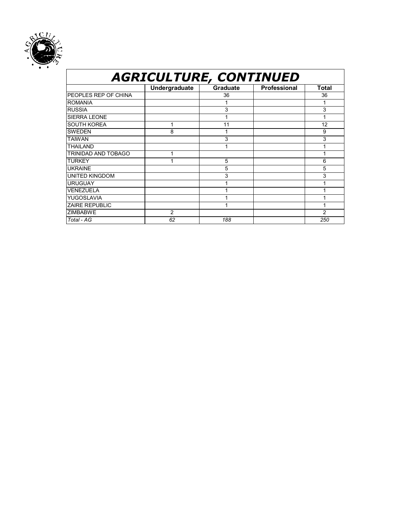

#### *AGRICULTURE, CONTINUED* **Undergraduate Graduate Professional Total**  PEOPLES REP OF CHINA 36 36 ROMANIA 1 1 RUSSIA | | 3 | | 3 SIERRA LEONE | 1 1 | 1 | 1 SOUTH KOREA 1 11 12 SWEDEN | 8 | 1 | 9 TAIWAN 3 3 THAILAND 1 1 TRINIDAD AND TOBAGO 1 1 TURKEY 1 5 6 UKRAINE 5 5 UNITED KINGDOM 3 3 URUGUAY 1 1 VENEZUELA 1 1 1 1 YUGOSLAVIA 1 1 1 1 1 ZAIRE REPUBLIC **1** 1 1 1 1 1 1 ZIMBABWE 2 2 2 *Total - AG 62 188 250*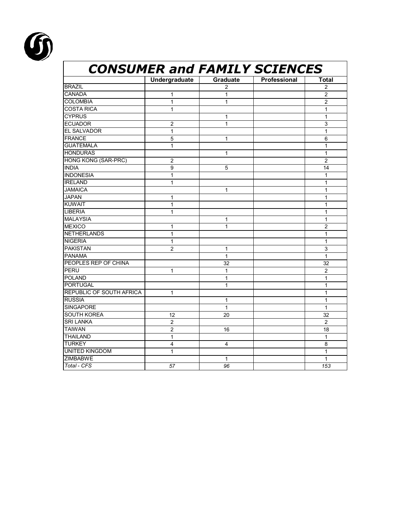

| <b>CONSUMER and FAMILY SCIENCES</b> |                |                 |              |                |
|-------------------------------------|----------------|-----------------|--------------|----------------|
|                                     | Undergraduate  | <b>Graduate</b> | Professional | <b>Total</b>   |
| <b>BRAZIL</b>                       |                | $\overline{2}$  |              | $\overline{2}$ |
| <b>CANADA</b>                       | 1              | 1               |              | $\overline{2}$ |
| <b>COLOMBIA</b>                     | $\mathbf{1}$   | 1               |              | $\overline{2}$ |
| <b>COSTA RICA</b>                   | $\mathbf{1}$   |                 |              | $\mathbf{1}$   |
| <b>CYPRUS</b>                       |                | 1               |              | 1              |
| <b>ECUADOR</b>                      | $\overline{2}$ | 1               |              | 3              |
| <b>EL SALVADOR</b>                  | $\mathbf{1}$   |                 |              | $\mathbf{1}$   |
| <b>FRANCE</b>                       | 5              | 1               |              | 6              |
| <b>GUATEMALA</b>                    | $\mathbf{1}$   |                 |              | $\mathbf{1}$   |
| <b>HONDURAS</b>                     |                | $\mathbf{1}$    |              | $\mathbf{1}$   |
| HONG KONG (SAR-PRC)                 | $\overline{c}$ |                 |              | $\overline{2}$ |
| <b>INDIA</b>                        | 9              | 5               |              | 14             |
| <b>INDONESIA</b>                    | $\mathbf{1}$   |                 |              | $\mathbf{1}$   |
| <b>IRELAND</b>                      | $\mathbf{1}$   |                 |              | $\mathbf{1}$   |
| <b>JAMAICA</b>                      |                | 1               |              | $\mathbf{1}$   |
| <b>JAPAN</b>                        | 1              |                 |              | $\mathbf{1}$   |
| <b>KUWAIT</b>                       | 1              |                 |              | 1              |
| <b>LIBERIA</b>                      | $\mathbf{1}$   |                 |              | 1              |
| <b>MALAYSIA</b>                     |                | 1               |              | 1              |
| <b>MEXICO</b>                       | 1              | 1               |              | $\overline{2}$ |
| <b>NETHERLANDS</b>                  | $\mathbf{1}$   |                 |              | $\mathbf{1}$   |
| <b>NIGERIA</b>                      | $\mathbf{1}$   |                 |              | 1              |
| <b>PAKISTAN</b>                     | 2              | 1               |              | 3              |
| <b>PANAMA</b>                       |                | $\mathbf{1}$    |              | $\mathbf{1}$   |
| PEOPLES REP OF CHINA                |                | 32              |              | 32             |
| <b>PERU</b>                         | 1              | 1               |              | $\overline{2}$ |
| <b>POLAND</b>                       |                | $\mathbf{1}$    |              | $\mathbf{1}$   |
| <b>PORTUGAL</b>                     |                | $\mathbf{1}$    |              | $\mathbf{1}$   |
| <b>REPUBLIC OF SOUTH AFRICA</b>     | $\mathbf{1}$   |                 |              | $\mathbf{1}$   |
| <b>RUSSIA</b>                       |                | 1               |              | 1              |
| <b>SINGAPORE</b>                    |                | $\mathbf{1}$    |              | $\mathbf{1}$   |
| <b>SOUTH KOREA</b>                  | 12             | 20              |              | 32             |
| <b>SRI LANKA</b>                    | $\overline{2}$ |                 |              | $\overline{2}$ |
| <b>TAIWAN</b>                       | $\overline{2}$ | 16              |              | 18             |
| <b>THAILAND</b>                     | 1              |                 |              | 1              |
| <b>TURKEY</b>                       | 4              | 4               |              | 8              |
| <b>UNITED KINGDOM</b>               | 1              |                 |              | 1              |
| <b>ZIMBABWE</b>                     |                | 1               |              | $\mathbf{1}$   |
| Total - CFS                         | 57             | 96              |              | 153            |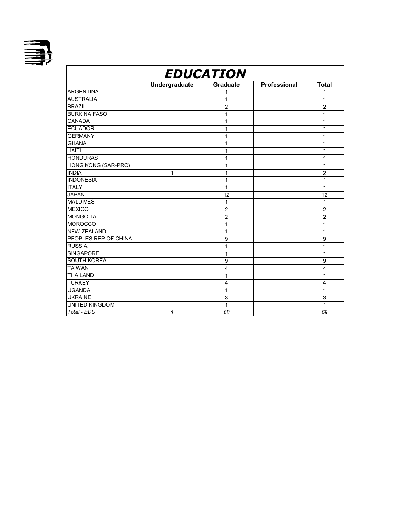

| <b>EDUCATION</b>           |               |                 |              |                |
|----------------------------|---------------|-----------------|--------------|----------------|
|                            | Undergraduate | <b>Graduate</b> | Professional | <b>Total</b>   |
| <b>ARGENTINA</b>           |               |                 |              | 1              |
| <b>AUSTRALIA</b>           |               | 1               |              | 1              |
| <b>BRAZIL</b>              |               | $\overline{c}$  |              | $\overline{c}$ |
| <b>BURKINA FASO</b>        |               | 1               |              | 1              |
| <b>CANADA</b>              |               | 1               |              | 1              |
| <b>ECUADOR</b>             |               | 1               |              | 1              |
| <b>GERMANY</b>             |               | 1               |              | 1              |
| <b>GHANA</b>               |               | 1               |              | 1              |
| <b>HAITI</b>               |               | 1               |              | 1              |
| <b>HONDURAS</b>            |               | 1               |              | 1              |
| <b>HONG KONG (SAR-PRC)</b> |               | 1               |              | 1              |
| <b>INDIA</b>               | 1             | 1               |              | $\overline{2}$ |
| <b>INDONESIA</b>           |               | 1               |              | 1              |
| <b>ITALY</b>               |               | 1               |              | 1              |
| <b>JAPAN</b>               |               | 12              |              | 12             |
| <b>MALDIVES</b>            |               | 1               |              | 1              |
| <b>MEXICO</b>              |               | $\overline{2}$  |              | $\overline{2}$ |
| <b>MONGOLIA</b>            |               | $\overline{2}$  |              | $\overline{c}$ |
| <b>MOROCCO</b>             |               | 1               |              | 1              |
| <b>NEW ZEALAND</b>         |               | 1               |              | 1              |
| PEOPLES REP OF CHINA       |               | 9               |              | 9              |
| <b>RUSSIA</b>              |               | 1               |              | 1              |
| <b>SINGAPORE</b>           |               | 1               |              | 1              |
| <b>SOUTH KOREA</b>         |               | 9               |              | 9              |
| <b>TAIWAN</b>              |               | 4               |              | 4              |
| <b>THAILAND</b>            |               | 1               |              | 1              |
| <b>TURKEY</b>              |               | 4               |              | 4              |
| <b>UGANDA</b>              |               | 1               |              | 1              |
| <b>UKRAINE</b>             |               | 3               |              | 3              |
| <b>UNITED KINGDOM</b>      |               | 1               |              | 1              |
| Total - EDU                | $\mathbf{1}$  | 68              |              | 69             |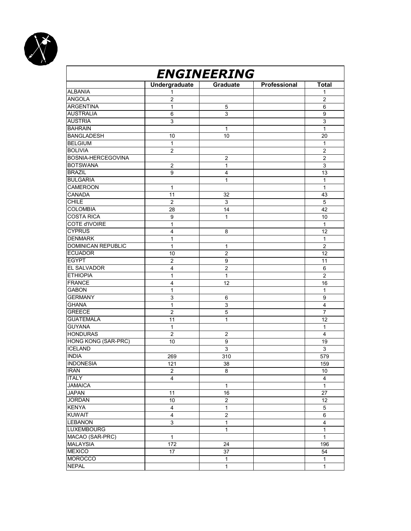

| <b>ENGINEERING</b>         |                         |                           |              |                         |  |
|----------------------------|-------------------------|---------------------------|--------------|-------------------------|--|
|                            | <b>Undergraduate</b>    | Graduate                  | Professional | <b>Total</b>            |  |
| <b>ALBANIA</b>             | 1                       |                           |              | 1                       |  |
| <b>ANGOLA</b>              | $\overline{c}$          |                           |              | $\overline{2}$          |  |
| <b>ARGENTINA</b>           | $\mathbf{1}$            | 5                         |              | 6                       |  |
| <b>AUSTRALIA</b>           | $\,6$                   | $\overline{3}$            |              | 9                       |  |
| <b>AUSTRIA</b>             | $\mathsf 3$             |                           |              | $\mathsf 3$             |  |
| <b>BAHRAIN</b>             |                         | 1                         |              | $\mathbf{1}$            |  |
| <b>BANGLADESH</b>          | 10                      | 10                        |              | 20                      |  |
| <b>BELGIUM</b>             | $\mathbf{1}$            |                           |              | 1                       |  |
| <b>BOLIVIA</b>             | $\overline{2}$          |                           |              | $\overline{2}$          |  |
| BOSNIA-HERCEGOVINA         |                         | $\overline{2}$            |              | $\overline{2}$          |  |
| <b>BOTSWANA</b>            | 2                       | 1                         |              | 3                       |  |
| <b>BRAZIL</b>              | 9                       | $\overline{4}$            |              | 13                      |  |
| <b>BULGARIA</b>            |                         | 1                         |              | $\mathbf{1}$            |  |
| <b>CAMEROON</b>            | $\mathbf{1}$            |                           |              | $\mathbf{1}$            |  |
| <b>CANADA</b>              | 11                      | 32                        |              | 43                      |  |
| CHILE                      | $\overline{c}$          | 3                         |              | 5                       |  |
| <b>COLOMBIA</b>            | 28                      | 14                        |              | 42                      |  |
| <b>COSTA RICA</b>          | 9                       | 1                         |              | 10                      |  |
| <b>COTE d'IVOIRE</b>       | $\mathbf{1}$            |                           |              | $\mathbf{1}$            |  |
| <b>CYPRUS</b>              | 4                       | 8                         |              | 12                      |  |
| <b>DENMARK</b>             | 1                       |                           |              | $\mathbf{1}$            |  |
| DOMINICAN REPUBLIC         |                         |                           |              |                         |  |
|                            | $\mathbf{1}$            | 1                         |              | $\overline{c}$          |  |
| <b>ECUADOR</b>             | 10                      | $\overline{c}$            |              | 12                      |  |
| <b>EGYPT</b>               | $\overline{2}$          | 9                         |              | 11                      |  |
| EL SALVADOR                | 4                       | $\overline{2}$            |              | 6                       |  |
| <b>ETHIOPIA</b>            | $\mathbf{1}$            | $\mathbf{1}$              |              | $\overline{c}$          |  |
| <b>FRANCE</b>              | $\overline{4}$          | 12                        |              | 16                      |  |
| GABON                      | 1                       |                           |              | $\mathbf{1}$            |  |
| <b>GERMANY</b>             | 3                       | 6                         |              | 9                       |  |
| <b>GHANA</b>               | $\mathbf{1}$            | $\ensuremath{\mathsf{3}}$ |              | $\overline{4}$          |  |
| <b>GREECE</b>              | 2                       | 5                         |              | 7                       |  |
| <b>GUATEMALA</b>           | 11                      | 1                         |              | 12                      |  |
| <b>GUYANA</b>              | 1                       |                           |              | 1                       |  |
| <b>HONDURAS</b>            | $\overline{2}$          | $\overline{2}$            |              | 4                       |  |
| <b>HONG KONG (SAR-PRC)</b> | 10                      | 9                         |              | 19                      |  |
| <b>ICELAND</b>             |                         | 3                         |              | $\mathsf 3$             |  |
| <b>INDIA</b>               | 269                     | 310                       |              | 579                     |  |
| <b>INDONESIA</b>           | 121                     | 38                        |              | 159                     |  |
| <b>IRAN</b>                | $\boldsymbol{2}$        | 8                         |              | 10                      |  |
| <b>ITALY</b>               | $\overline{4}$          |                           |              | $\overline{4}$          |  |
| <b>JAMAICA</b>             |                         | $\mathbf{1}$              |              | $\mathbf{1}$            |  |
| <b>JAPAN</b>               | 11                      | 16                        |              | 27                      |  |
| <b>JORDAN</b>              | 10                      | $\boldsymbol{2}$          |              | 12                      |  |
| <b>KENYA</b>               | $\overline{4}$          | $\overline{1}$            |              | 5                       |  |
| <b>KUWAIT</b>              | $\overline{\mathbf{4}}$ | $\overline{2}$            |              | 6                       |  |
| <b>LEBANON</b>             | $\mathsf 3$             | $\mathbf{1}$              |              | $\overline{\mathbf{4}}$ |  |
| <b>LUXEMBOURG</b>          |                         | 1                         |              | $\mathbf{1}$            |  |
| MACAO (SAR-PRC)            | $\mathbf{1}$            |                           |              | $\mathbf{1}$            |  |
| <b>MALAYSIA</b>            | 172                     | 24                        |              | 196                     |  |
| <b>MEXICO</b>              | 17                      | 37                        |              | 54                      |  |
| <b>MOROCCO</b>             |                         | $\mathbf{1}$              |              | $\mathbf{1}$            |  |
| <b>NEPAL</b>               |                         | $\mathbf{1}$              |              | $\mathbf{1}$            |  |
|                            |                         |                           |              |                         |  |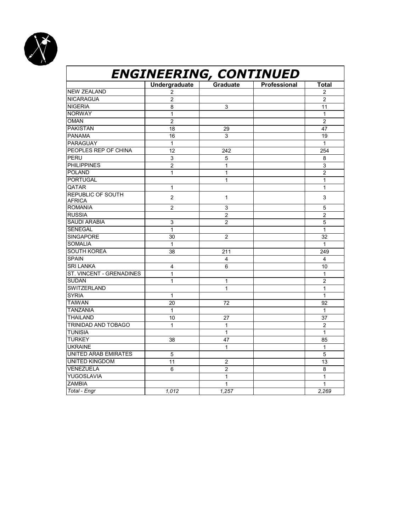

#### **ENGINEERING, CONTINUED Undergraduate Graduate Professional Total** NEW ZEALAND 2 NICARAGUA 2 2 2 NIGERIA 8 3 11 NORWAY 1 1 OMAN 2 2 PAKISTAN 18 29 47 PANAMA 16 3 19 PARAGUAY 1 1 1 1 1 1 1 PEOPLES REP OF CHINA 12 242 254 PERU | 3 | 5 | | 8 PHILIPPINES 2 1 3 POLAND  $\begin{vmatrix} 1 & 1 & 1 \\ 2 & 1 & 1 \end{vmatrix}$  1 2 PORTUGAL 1 1 QATAR 1 1 | 1 | 1 | 1 REPUBLIC OF SOUTH AFRICA 2 1 3<br>AFRICA ROMANIA 2 3 5 RUSSIA 2 2 SAUDI ARABIA  $\begin{array}{ccc} 3 & 2 & 5 \ 3 \end{array}$ SENEGAL  $\begin{array}{ccc} 1 & 1 & 1 \end{array}$ SENEGAL 1 1 SINGAPORE 30 2 32<br>SOMALIA 1 1 1 1 SOMALIA 1 1 SOUTH KOREA 38 211 211 249 SPAIN 4 4 SRI LANKA 4 6 10 ST. VINCENT - GRENADINES 1<br>SUDAN 1 1 2 SUDAN 1 1 2 SWITZERLAND 1 1  $SYRIA$  and  $\begin{vmatrix} 1 & 1 & 1 \end{vmatrix}$  and  $\begin{vmatrix} 1 & 1 \end{vmatrix}$  and  $\begin{vmatrix} 1 & 1 \end{vmatrix}$  and  $\begin{vmatrix} 1 & 1 \end{vmatrix}$  and  $\begin{vmatrix} 1 & 1 \end{vmatrix}$  and  $\begin{vmatrix} 1 & 1 \end{vmatrix}$  and  $\begin{vmatrix} 1 & 1 \end{vmatrix}$  and  $\begin{vmatrix} 1 & 1 \end{vmatrix}$  and  $\begin{vmatrix} 1 & 1 \end{$ TAIWAN | 20 | 72 | 92 TANZANIA 1 1 THAILAND | 10 | 27 | | 37 TRINIDAD AND TOBAGO 1 1 1 1 1 2 TUNISIA | | | 1 | 1 | TURKEY | 38 | 47 | | 85 UKRAINE 1 1 UNITED ARAB EMIRATES 5 5 UNITED KINGDOM 11 11 2 13 VENEZUELA 6 6 2 8 **YUGOSLAVIA** 1 1 1 ZAMBIA 1 1 *Total - Engr 1,012 1,257 2,269*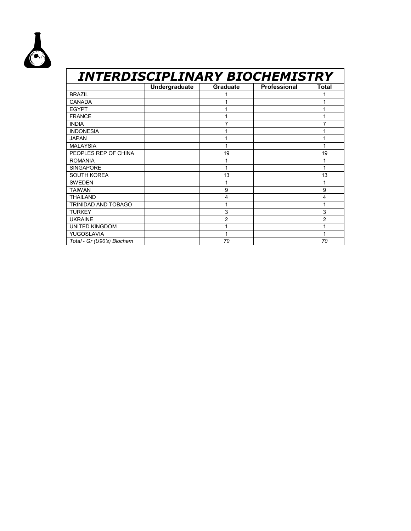

#### *INTERDISCIPLINARY BIOCHEMISTRY*  **Undergraduate Graduate Professional Total**  BRAZIL 1 1 CANADA 1 1 EGYPT 1 1 FRANCE 1 1 INDIA 7 7 INDONESIA 1 1 1 1 JAPAN 1 1 MALAYSIA 1<br>
PEOPLES REP OF CHINA 19 19 PEOPLES REP OF CHINA ROMANIA | 1 1 1 1 1 1 SINGAPORE 1 1 SOUTH KOREA 13 13 13 SWEDEN 1 1 TAIWAN 9 9 THAILAND 4 4 TRINIDAD AND TOBAGO 1 1 TURKEY | | 3 | 3 UKRAINE 2 2 UNITED KINGDOM 1 1 YUGOSLAVIA | 1 1 | 1 *Total - Gr (U90's) Biochem 70 70*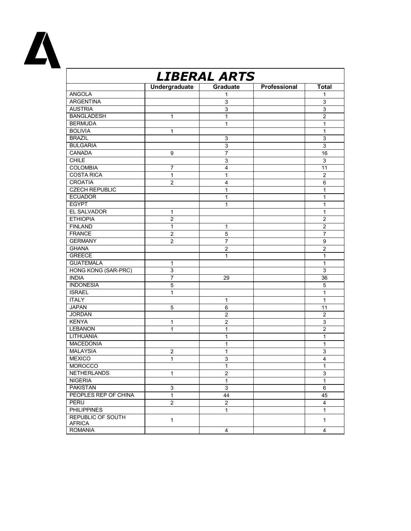

| <b>LIBERAL ARTS</b>                       |                |                |              |                |
|-------------------------------------------|----------------|----------------|--------------|----------------|
|                                           | Undergraduate  | Graduate       | Professional | <b>Total</b>   |
| <b>ANGOLA</b>                             |                | 1              |              | 1              |
| <b>ARGENTINA</b>                          |                | 3              |              | 3              |
| <b>AUSTRIA</b>                            |                | $\overline{3}$ |              | $\overline{3}$ |
| <b>BANGLADESH</b>                         | 1              | 1              |              | $\overline{c}$ |
| <b>BERMUDA</b>                            |                | $\mathbf{1}$   |              | 1              |
| <b>BOLIVIA</b>                            | 1              |                |              | $\mathbf{1}$   |
| <b>BRAZIL</b>                             |                | 3              |              | $\mathsf 3$    |
| <b>BULGARIA</b>                           |                | $\overline{3}$ |              | $\overline{3}$ |
| CANADA                                    | 9              | 7              |              | 16             |
| <b>CHILE</b>                              |                | 3              |              | 3              |
| <b>COLOMBIA</b>                           | $\overline{7}$ | $\overline{4}$ |              | 11             |
| <b>COSTA RICA</b>                         | $\mathbf{1}$   | $\mathbf{1}$   |              | $\overline{c}$ |
| <b>CROATIA</b>                            | $\overline{2}$ | 4              |              | 6              |
| <b>CZECH REPUBLIC</b>                     |                | 1              |              | 1              |
| <b>ECUADOR</b>                            |                | $\mathbf{1}$   |              | $\mathbf{1}$   |
| <b>EGYPT</b>                              |                | 1              |              | 1              |
| EL SALVADOR                               | 1              |                |              | 1              |
| <b>ETHIOPIA</b>                           | $\overline{2}$ |                |              | $\overline{2}$ |
| <b>FINLAND</b>                            | 1              | $\mathbf{1}$   |              | $\overline{2}$ |
| <b>FRANCE</b>                             | $\overline{c}$ | 5              |              | $\overline{7}$ |
| <b>GERMANY</b>                            | $\overline{2}$ | 7              |              | 9              |
| <b>GHANA</b>                              |                | 2              |              | 2              |
| <b>GREECE</b>                             |                | $\mathbf{1}$   |              | $\mathbf{1}$   |
| <b>GUATEMALA</b>                          | 1              |                |              | $\mathbf{1}$   |
| <b>HONG KONG (SAR-PRC)</b>                | 3              |                |              | 3              |
| <b>INDIA</b>                              | $\overline{7}$ | 29             |              | 36             |
| <b>INDONESIA</b>                          | 5              |                |              | 5              |
| <b>ISRAEL</b>                             | $\mathbf{1}$   |                |              | 1              |
| <b>ITALY</b>                              |                | 1              |              | $\mathbf{1}$   |
| <b>JAPAN</b>                              | 5              | 6              |              | 11             |
| <b>JORDAN</b>                             |                | $\overline{c}$ |              | $\overline{2}$ |
| <b>KENYA</b>                              | 1              | $\overline{c}$ |              | 3              |
| <b>LEBANON</b>                            | 1              | 1              |              | $\overline{2}$ |
| <b>LITHUANIA</b>                          |                | $\mathbf{1}$   |              | $\mathbf{1}$   |
| <b>MACEDONIA</b>                          |                | 1              |              | 1              |
| <b>MALAYSIA</b>                           | 2              | $\mathbf{1}$   |              | 3              |
| <b>MEXICO</b>                             | 1              | 3              |              | 4              |
| <b>MOROCCO</b>                            |                | 1              |              | $\mathbf{1}$   |
| <b>NETHERLANDS</b>                        | $\mathbf{1}$   | $\overline{c}$ |              | 3              |
| <b>NIGERIA</b>                            |                | $\mathbf{1}$   |              | $\mathbf{1}$   |
| <b>PAKISTAN</b>                           | 3              | $\overline{3}$ |              | 6              |
| PEOPLES REP OF CHINA                      | $\mathbf{1}$   | 44             |              | 45             |
| PERU                                      | $\overline{2}$ | $\overline{2}$ |              | $\overline{4}$ |
| <b>PHILIPPINES</b>                        |                | $\mathbf{1}$   |              | $\mathbf{1}$   |
| <b>REPUBLIC OF SOUTH</b><br><b>AFRICA</b> | $\mathbf{1}$   |                |              | $\mathbf{1}$   |
| <b>ROMANIA</b>                            |                | 4              |              | $\overline{4}$ |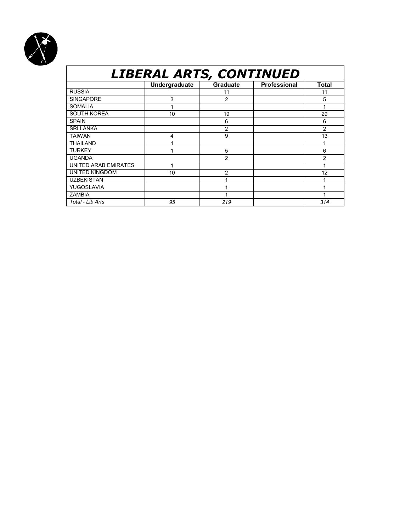

## *LIBERAL ARTS, CONTINUED*

|                       | Undergraduate | <b>Graduate</b> | <b>Professional</b> | <b>Total</b>   |
|-----------------------|---------------|-----------------|---------------------|----------------|
| <b>RUSSIA</b>         |               | 11              |                     | 11             |
| <b>SINGAPORE</b>      | 3             | 2               |                     | 5              |
| <b>SOMALIA</b>        |               |                 |                     |                |
| <b>SOUTH KOREA</b>    | 10            | 19              |                     | 29             |
| <b>SPAIN</b>          |               | 6               |                     | 6              |
| <b>SRI LANKA</b>      |               | $\overline{2}$  |                     | $\overline{2}$ |
| <b>TAIWAN</b>         | 4             | 9               |                     | 13             |
| <b>THAILAND</b>       |               |                 |                     |                |
| <b>TURKEY</b>         |               | 5               |                     | 6              |
| <b>UGANDA</b>         |               | 2               |                     | 2              |
| UNITED ARAB EMIRATES  |               |                 |                     |                |
| <b>UNITED KINGDOM</b> | 10            | $\overline{2}$  |                     | 12             |
| <b>UZBEKISTAN</b>     |               |                 |                     |                |
| YUGOSLAVIA            |               |                 |                     |                |
| <b>ZAMBIA</b>         |               |                 |                     |                |
| Total - Lib Arts      | 95            | 219             |                     | 314            |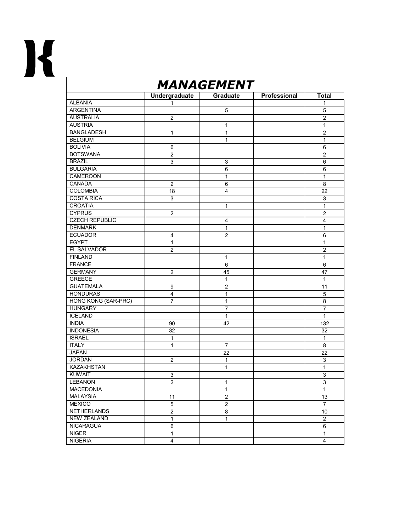

| <b>MANAGEMENT</b>          |                |                     |              |                   |  |  |  |
|----------------------------|----------------|---------------------|--------------|-------------------|--|--|--|
|                            | Undergraduate  | <b>Graduate</b>     | Professional | <b>Total</b>      |  |  |  |
| <b>ALBANIA</b>             | 1              |                     |              | 1                 |  |  |  |
| <b>ARGENTINA</b>           |                | 5                   |              | 5                 |  |  |  |
| <b>AUSTRALIA</b>           | $\overline{2}$ |                     |              | $\overline{2}$    |  |  |  |
| <b>AUSTRIA</b>             |                | 1                   |              | 1                 |  |  |  |
| <b>BANGLADESH</b>          | 1              | 1                   |              | $\overline{2}$    |  |  |  |
| <b>BELGIUM</b>             |                | 1                   |              | 1                 |  |  |  |
| <b>BOLIVIA</b>             | 6              |                     |              | 6                 |  |  |  |
| <b>BOTSWANA</b>            | $\overline{2}$ |                     |              | $\overline{2}$    |  |  |  |
| <b>BRAZIL</b>              | 3              | 3                   |              | 6                 |  |  |  |
| <b>BULGARIA</b>            |                | 6                   |              | 6                 |  |  |  |
| CAMEROON                   |                | 1                   |              | 1                 |  |  |  |
| CANADA                     | $\overline{2}$ | 6                   |              | 8                 |  |  |  |
| <b>COLOMBIA</b>            | 18             | 4                   |              | 22                |  |  |  |
| <b>COSTA RICA</b>          | $\mathsf 3$    |                     |              | 3                 |  |  |  |
| <b>CROATIA</b>             |                | 1                   |              | 1                 |  |  |  |
| <b>CYPRUS</b>              | $\overline{c}$ |                     |              | $\overline{2}$    |  |  |  |
| <b>CZECH REPUBLIC</b>      |                | 4                   |              | 4                 |  |  |  |
| <b>DENMARK</b>             |                | 1                   |              | 1                 |  |  |  |
| <b>ECUADOR</b>             | 4              | $\overline{2}$      |              | 6                 |  |  |  |
| <b>EGYPT</b>               | 1              |                     |              | 1                 |  |  |  |
| <b>EL SALVADOR</b>         | $\overline{2}$ |                     |              | $\overline{2}$    |  |  |  |
| <b>FINLAND</b>             |                |                     |              |                   |  |  |  |
| <b>FRANCE</b>              |                | 1<br>6              |              | $\mathbf{1}$<br>6 |  |  |  |
| <b>GERMANY</b>             |                |                     |              |                   |  |  |  |
| <b>GREECE</b>              | $\overline{2}$ | 45                  |              | 47                |  |  |  |
| <b>GUATEMALA</b>           |                | 1<br>$\overline{c}$ |              | 1<br>11           |  |  |  |
|                            | 9              |                     |              |                   |  |  |  |
| <b>HONDURAS</b>            | 4              | 1                   |              | 5                 |  |  |  |
| <b>HONG KONG (SAR-PRC)</b> | $\overline{7}$ | 1                   |              | 8                 |  |  |  |
| <b>HUNGARY</b>             |                | 7                   |              | $\overline{7}$    |  |  |  |
| <b>ICELAND</b>             |                | 1                   |              | $\mathbf{1}$      |  |  |  |
| <b>INDIA</b>               | 90             | 42                  |              | 132               |  |  |  |
| <b>INDONESIA</b>           | 32             |                     |              | 32                |  |  |  |
| <b>ISRAEL</b>              | $\mathbf{1}$   |                     |              | $\mathbf{1}$      |  |  |  |
| <b>ITALY</b>               | 1              | $\overline{7}$      |              | 8                 |  |  |  |
| <b>JAPAN</b>               |                | 22                  |              | 22                |  |  |  |
| <b>JORDAN</b>              | $\overline{2}$ | 1                   |              | 3                 |  |  |  |
| <b>KAZAKHSTAN</b>          |                | 1                   |              | 1                 |  |  |  |
| <b>KUWAIT</b>              | 3              |                     |              | 3                 |  |  |  |
| <b>LEBANON</b>             | $\overline{2}$ | $\mathbf{1}$        |              | 3                 |  |  |  |
| <b>MACEDONIA</b>           |                | $\mathbf{1}$        |              | $\mathbf{1}$      |  |  |  |
| <b>MALAYSIA</b>            | 11             | $\overline{2}$      |              | 13                |  |  |  |
| <b>MEXICO</b>              | $\sqrt{5}$     | $\overline{c}$      |              | $\overline{7}$    |  |  |  |
| NETHERLANDS                | $\overline{2}$ | 8                   |              | 10                |  |  |  |
| <b>NEW ZEALAND</b>         | $\mathbf{1}$   | $\mathbf{1}$        |              | $\overline{2}$    |  |  |  |
| NICARAGUA                  | 6              |                     |              | 6                 |  |  |  |
| <b>NIGER</b>               | $\mathbf{1}$   |                     |              | $\mathbf{1}$      |  |  |  |
| <b>NIGERIA</b>             | 4              |                     |              | 4                 |  |  |  |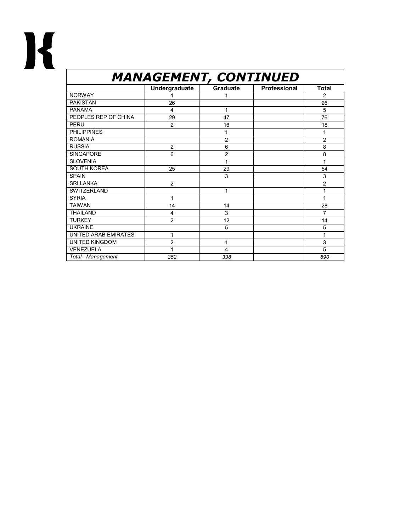

## *MANAGEMENT, CONTINUED*

|                       | Undergraduate  | Graduate       | <b>Professional</b> | <b>Total</b>   |
|-----------------------|----------------|----------------|---------------------|----------------|
| <b>NORWAY</b>         |                |                |                     | $\overline{2}$ |
| <b>PAKISTAN</b>       | 26             |                |                     | 26             |
| <b>PANAMA</b>         | $\overline{4}$ | 1              |                     | 5              |
| PEOPLES REP OF CHINA  | 29             | 47             |                     | 76             |
| PERU                  | $\overline{2}$ | 16             |                     | 18             |
| <b>PHILIPPINES</b>    |                |                |                     |                |
| <b>ROMANIA</b>        |                | $\overline{2}$ |                     | $\overline{2}$ |
| <b>RUSSIA</b>         | $\overline{2}$ | 6              |                     | 8              |
| <b>SINGAPORE</b>      | 6              | $\overline{2}$ |                     | 8              |
| <b>SLOVENIA</b>       |                |                |                     | 1              |
| <b>SOUTH KOREA</b>    | 25             | 29             |                     | 54             |
| <b>SPAIN</b>          |                | 3              |                     | 3              |
| <b>SRI LANKA</b>      | $\overline{2}$ |                |                     | $\overline{2}$ |
| <b>SWITZERLAND</b>    |                | 1              |                     |                |
| <b>SYRIA</b>          | 1              |                |                     | 1              |
| <b>TAIWAN</b>         | 14             | 14             |                     | 28             |
| <b>THAILAND</b>       | 4              | 3              |                     | 7              |
| <b>TURKEY</b>         | $\overline{2}$ | 12             |                     | 14             |
| <b>UKRAINE</b>        |                | 5              |                     | 5              |
| UNITED ARAB EMIRATES  | 1              |                |                     | 1              |
| <b>UNITED KINGDOM</b> | $\overline{c}$ | 1              |                     | 3              |
| <b>VENEZUELA</b>      | 1              | $\overline{4}$ |                     | 5              |
| Total - Management    | 352            | 338            |                     | 690            |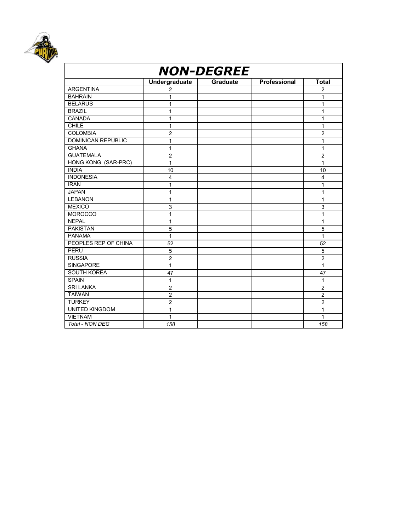

| <b>NON-DEGREE</b>         |                         |                 |              |                |  |  |
|---------------------------|-------------------------|-----------------|--------------|----------------|--|--|
|                           | Undergraduate           | <b>Graduate</b> | Professional | <b>Total</b>   |  |  |
| <b>ARGENTINA</b>          | 2                       |                 |              | $\overline{2}$ |  |  |
| <b>BAHRAIN</b>            | 1                       |                 |              | 1              |  |  |
| <b>BELARUS</b>            | 1                       |                 |              | 1              |  |  |
| <b>BRAZIL</b>             | 1                       |                 |              | 1              |  |  |
| <b>CANADA</b>             | 1                       |                 |              | 1              |  |  |
| <b>CHILE</b>              | 1                       |                 |              | 1              |  |  |
| <b>COLOMBIA</b>           | $\overline{2}$          |                 |              | $\overline{2}$ |  |  |
| <b>DOMINICAN REPUBLIC</b> | 1                       |                 |              | 1              |  |  |
| <b>GHANA</b>              | 1                       |                 |              | 1              |  |  |
| <b>GUATEMALA</b>          | $\overline{c}$          |                 |              | $\overline{c}$ |  |  |
| HONG KONG (SAR-PRC)       | 1                       |                 |              | 1              |  |  |
| <b>INDIA</b>              | 10                      |                 |              | 10             |  |  |
| <b>INDONESIA</b>          | $\overline{\mathbf{4}}$ |                 |              | 4              |  |  |
| <b>IRAN</b>               | 1                       |                 |              | 1              |  |  |
| <b>JAPAN</b>              | 1                       |                 |              | 1              |  |  |
| <b>LEBANON</b>            | 1                       |                 |              | 1              |  |  |
| <b>MEXICO</b>             | 3                       |                 |              | 3              |  |  |
| <b>MOROCCO</b>            | 1                       |                 |              | 1              |  |  |
| <b>NEPAL</b>              | 1                       |                 |              | 1              |  |  |
| <b>PAKISTAN</b>           | 5                       |                 |              | 5              |  |  |
| <b>PANAMA</b>             | 1                       |                 |              | 1              |  |  |
| PEOPLES REP OF CHINA      | 52                      |                 |              | 52             |  |  |
| PERU                      | 5                       |                 |              | 5              |  |  |
| <b>RUSSIA</b>             | $\overline{c}$          |                 |              | $\overline{c}$ |  |  |
| <b>SINGAPORE</b>          | 1                       |                 |              | 1              |  |  |
| <b>SOUTH KOREA</b>        | 47                      |                 |              | 47             |  |  |
| <b>SPAIN</b>              | 1                       |                 |              | 1              |  |  |
| <b>SRI LANKA</b>          | $\overline{2}$          |                 |              | $\overline{2}$ |  |  |
| <b>TAIWAN</b>             | $\overline{c}$          |                 |              | $\overline{2}$ |  |  |
| <b>TURKEY</b>             | $\overline{2}$          |                 |              | $\overline{2}$ |  |  |
| <b>UNITED KINGDOM</b>     | 1                       |                 |              | 1              |  |  |
| <b>VIETNAM</b>            | 1                       |                 |              | 1              |  |  |
| Total - NON DEG           | 158                     |                 |              | 158            |  |  |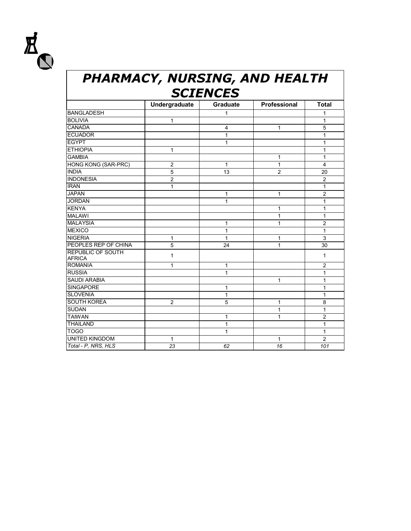

## *PHARMACY, NURSING, AND HEALTH SCIENCES*

|                                           | Undergraduate    | <b>Graduate</b> | <b>Professional</b> | <b>Total</b>   |
|-------------------------------------------|------------------|-----------------|---------------------|----------------|
| <b>BANGLADESH</b>                         |                  | 1               |                     | 1              |
| <b>BOLIVIA</b>                            | $\mathbf{1}$     |                 |                     | 1              |
| <b>CANADA</b>                             |                  | $\overline{4}$  | $\mathbf{1}$        | 5              |
| <b>ECUADOR</b>                            |                  | 1               |                     | 1              |
| <b>EGYPT</b>                              |                  | 1               |                     | 1              |
| <b>ETHIOPIA</b>                           | $\mathbf{1}$     |                 |                     | 1              |
| <b>GAMBIA</b>                             |                  |                 | 1                   | 1              |
| <b>HONG KONG (SAR-PRC)</b>                | $\boldsymbol{2}$ | $\mathbf{1}$    | $\mathbf{1}$        | $\overline{4}$ |
| <b>INDIA</b>                              | 5                | 13              | $\overline{c}$      | 20             |
| <b>INDONESIA</b>                          | $\overline{2}$   |                 |                     | $\overline{c}$ |
| <b>IRAN</b>                               | 1                |                 |                     | 1              |
| <b>JAPAN</b>                              |                  | $\mathbf{1}$    | $\mathbf{1}$        | $\overline{2}$ |
| <b>JORDAN</b>                             |                  | 1               |                     | 1              |
| <b>KENYA</b>                              |                  |                 | 1                   | 1              |
| <b>MALAWI</b>                             |                  |                 | 1                   | 1              |
| <b>MALAYSIA</b>                           |                  | 1               | 1                   | $\overline{c}$ |
| <b>MEXICO</b>                             |                  | 1               |                     | 1              |
| <b>NIGERIA</b>                            | 1                | 1               | 1                   | 3              |
| PEOPLES REP OF CHINA                      | 5                | 24              | 1                   | 30             |
| <b>REPUBLIC OF SOUTH</b><br><b>AFRICA</b> | 1                |                 |                     | 1              |
| <b>ROMANIA</b>                            | $\mathbf{1}$     | $\mathbf{1}$    |                     | $\overline{2}$ |
| <b>RUSSIA</b>                             |                  | 1               |                     | 1              |
| <b>SAUDI ARABIA</b>                       |                  |                 | 1                   | 1              |
| <b>SINGAPORE</b>                          |                  | 1               |                     | 1              |
| <b>SLOVENIA</b>                           |                  | $\mathbf{1}$    |                     | 1              |
| <b>SOUTH KOREA</b>                        | $\overline{2}$   | 5               | 1                   | 8              |
| <b>SUDAN</b>                              |                  |                 | 1                   | 1              |
| <b>TAIWAN</b>                             |                  | 1               | 1                   | $\overline{2}$ |
| <b>THAILAND</b>                           |                  | 1               |                     | 1              |
| <b>TOGO</b>                               |                  | 1               |                     | $\mathbf{1}$   |
| <b>UNITED KINGDOM</b>                     | $\mathbf{1}$     |                 | 1                   | $\overline{2}$ |
| Total - P, NRS, HLS                       | 23               | 62              | 16                  | 101            |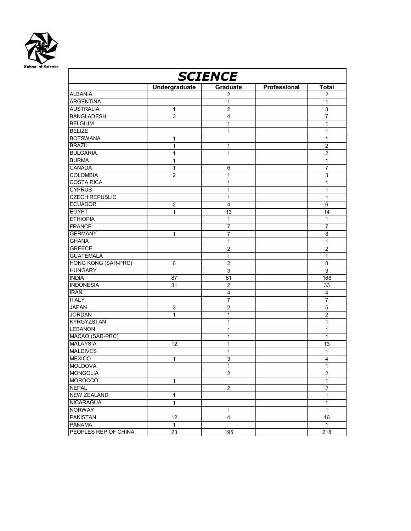

| <b>SCIENCE</b>             |                      |                  |              |                |  |  |
|----------------------------|----------------------|------------------|--------------|----------------|--|--|
|                            | <b>Undergraduate</b> | Graduate         | Professional | <b>Total</b>   |  |  |
| <b>ALBANIA</b>             |                      | $\overline{2}$   |              | $\overline{c}$ |  |  |
| <b>ARGENTINA</b>           |                      | 1                |              | 1              |  |  |
| <b>AUSTRALIA</b>           | $\mathbf{1}$         | $\overline{2}$   |              | 3              |  |  |
| <b>BANGLADESH</b>          | $\mathsf 3$          | 4                |              | 7              |  |  |
| <b>BELGIUM</b>             |                      | 1                |              | 1              |  |  |
| <b>BELIZE</b>              |                      | $\mathbf{1}$     |              | $\mathbf{1}$   |  |  |
| <b>BOTSWANA</b>            | 1                    |                  |              | 1              |  |  |
| <b>BRAZIL</b>              | 1                    | 1                |              | $\overline{c}$ |  |  |
| <b>BULGARIA</b>            | 1                    | 1                |              | $\overline{c}$ |  |  |
| <b>BURMA</b>               | 1                    |                  |              | 1              |  |  |
| CANADA                     | $\mathbf{1}$         | 6                |              | 7              |  |  |
| <b>COLOMBIA</b>            | $\overline{c}$       | 1                |              | 3              |  |  |
| <b>COSTA RICA</b>          |                      | 1                |              | $\mathbf{1}$   |  |  |
| <b>CYPRUS</b>              |                      | 1                |              | 1              |  |  |
| <b>CZECH REPUBLIC</b>      |                      | 1                |              | 1              |  |  |
| <b>ECUADOR</b>             | $\overline{c}$       | $\overline{4}$   |              | 6              |  |  |
| <b>EGYPT</b>               | 1                    | 13               |              | 14             |  |  |
| <b>ETHIOPIA</b>            |                      | 1                |              | 1              |  |  |
| <b>FRANCE</b>              |                      | 7                |              | $\overline{7}$ |  |  |
| <b>GERMANY</b>             | 1                    | 7                |              | 8              |  |  |
| <b>GHANA</b>               |                      | 1                |              | 1              |  |  |
| <b>GREECE</b>              |                      | $\overline{c}$   |              | 2              |  |  |
| <b>GUATEMALA</b>           |                      | $\mathbf{1}$     |              | $\mathbf{1}$   |  |  |
| <b>HONG KONG (SAR-PRC)</b> | 6                    | $\overline{2}$   |              | 8              |  |  |
| <b>HUNGARY</b>             |                      | 3                |              | 3              |  |  |
| <b>INDIA</b>               | 87                   | 81               |              | 168            |  |  |
| <b>INDONESIA</b>           | 31                   | $\overline{2}$   |              | 33             |  |  |
| <b>IRAN</b>                |                      | $\overline{4}$   |              | $\overline{4}$ |  |  |
| <b>ITALY</b>               |                      | 7                |              | 7              |  |  |
| <b>JAPAN</b>               | 3                    | 2                |              | 5              |  |  |
| <b>JORDAN</b>              | $\mathbf{1}$         | 1                |              | $\overline{2}$ |  |  |
| <b>KYRGYZSTAN</b>          |                      | 1                |              | 1              |  |  |
| <b>LEBANON</b>             |                      | 1                |              | 1              |  |  |
| MACAO (SAR-PRC)            |                      | 1                |              | 1              |  |  |
| <b>MALAYSIA</b>            | 12                   | 1                |              | 13             |  |  |
| <b>MALDIVES</b>            |                      | 1                |              | 1              |  |  |
| <b>MEXICO</b>              | 1                    | 3                |              | 4              |  |  |
| <b>MOLDOVA</b>             |                      | 1                |              | 1              |  |  |
| <b>MONGOLIA</b>            |                      | $\boldsymbol{2}$ |              | $\overline{c}$ |  |  |
| <b>MOROCCO</b>             | 1                    |                  |              | $\mathbf{1}$   |  |  |
| <b>NEPAL</b>               |                      | $\overline{2}$   |              | $\overline{2}$ |  |  |
| <b>NEW ZEALAND</b>         | $\mathbf{1}$         |                  |              | $\mathbf{1}$   |  |  |
| <b>NICARAGUA</b>           | $\mathbf{1}$         |                  |              | $\mathbf{1}$   |  |  |
| <b>NORWAY</b>              |                      | 1                |              | $\mathbf{1}$   |  |  |
| <b>PAKISTAN</b>            | 12                   | 4                |              | 16             |  |  |
| <b>PANAMA</b>              | $\mathbf{1}$         |                  |              | $\mathbf{1}$   |  |  |
| PEOPLES REP OF CHINA       | 23                   | 195              |              | 218            |  |  |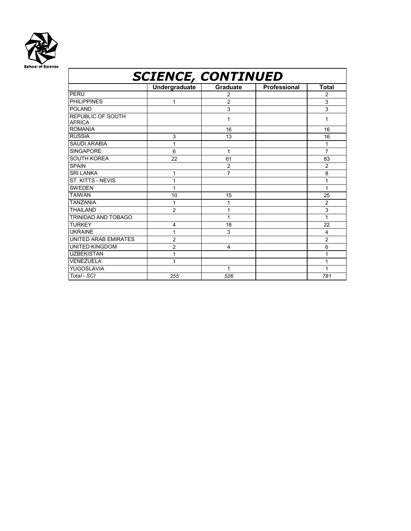

#### *SCIENCE, CONTINUED*  **Undergraduate Graduate Professional Total** PERU | | 2 | 2 PHILIPPINES 1 2<br>POLAND 3 3 POLAND 3 3 REPUBLIC OF SOUTH AFRICA 1 1 ROMANIA 16 16 RUSSIA | 3 | 13 | | 16 SAUDI ARABIA 1<br>SINGAPORE 6 1 7 SINGAPORE 6 1 SOUTH KOREA 22 61 61 83 SPAIN 2 2 2 SRI LANKA and the state of the state of the state of the state of the state of the state of the state of the state of the state of the state of the state of the state of the state of the state of the state of the state of ST. KITTS - NEVIS 1 1 SWEDEN  $\begin{vmatrix} 1 & 1 \\ 1 & 1 \end{vmatrix}$  1 1 1 1 TAIWAN 10 15 25 TANZANIA 1 1 2 THAILAND 2 1 3 TRINIDAD AND TOBAGO 1 1 TURKEY | 4 | 18 | | 22 UKRAINE  $\begin{vmatrix} 1 & 1 & 3 & 1 \end{vmatrix}$  4 UNITED ARAB EMIRATES 2 2 UNITED KINGDOM 2 4 6<br>UZBEKISTAN 1 1 1 1 **UZBEKISTAN** VENEZUELA 1 1 YUGOSLAVIA | 1 1 | 1 *Total - SCI 255 526 781*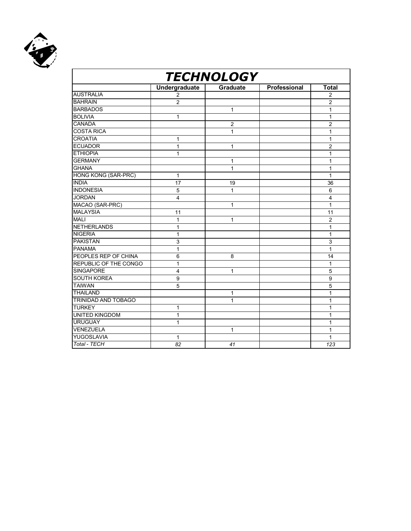

| <b>TECHNOLOGY</b>          |                         |                |              |                |  |  |
|----------------------------|-------------------------|----------------|--------------|----------------|--|--|
|                            | <b>Undergraduate</b>    | Graduate       | Professional | <b>Total</b>   |  |  |
| <b>AUSTRALIA</b>           | 2                       |                |              | $\overline{2}$ |  |  |
| <b>BAHRAIN</b>             | $\overline{c}$          |                |              | $\overline{c}$ |  |  |
| <b>BARBADOS</b>            |                         | $\mathbf{1}$   |              | 1              |  |  |
| <b>BOLIVIA</b>             | $\mathbf{1}$            |                |              | 1              |  |  |
| <b>CANADA</b>              |                         | $\overline{2}$ |              | $\overline{2}$ |  |  |
| <b>COSTA RICA</b>          |                         | $\mathbf{1}$   |              | 1              |  |  |
| <b>CROATIA</b>             | 1                       |                |              | 1              |  |  |
| <b>ECUADOR</b>             | $\mathbf{1}$            | 1              |              | $\overline{2}$ |  |  |
| <b>ETHIOPIA</b>            | 1                       |                |              | 1              |  |  |
| <b>GERMANY</b>             |                         | 1              |              | 1              |  |  |
| <b>GHANA</b>               |                         | 1              |              | 1              |  |  |
| <b>HONG KONG (SAR-PRC)</b> | $\mathbf{1}$            |                |              | $\mathbf{1}$   |  |  |
| <b>INDIA</b>               | 17                      | 19             |              | 36             |  |  |
| <b>INDONESIA</b>           | 5                       | 1              |              | 6              |  |  |
| <b>JORDAN</b>              | 4                       |                |              | $\overline{4}$ |  |  |
| MACAO (SAR-PRC)            |                         | 1              |              | $\mathbf{1}$   |  |  |
| <b>MALAYSIA</b>            | 11                      |                |              | 11             |  |  |
| <b>MALI</b>                | $\mathbf{1}$            | 1              |              | $\overline{2}$ |  |  |
| <b>NETHERLANDS</b>         | 1                       |                |              | 1              |  |  |
| <b>NIGERIA</b>             | 1                       |                |              | 1              |  |  |
| <b>PAKISTAN</b>            | 3                       |                |              | 3              |  |  |
| <b>PANAMA</b>              | 1                       |                |              | 1              |  |  |
| PEOPLES REP OF CHINA       | 6                       | 8              |              | 14             |  |  |
| REPUBLIC OF THE CONGO      | 1                       |                |              | 1              |  |  |
| <b>SINGAPORE</b>           | $\overline{\mathbf{4}}$ | 1              |              | 5              |  |  |
| SOUTH KOREA                | 9                       |                |              | 9              |  |  |
| <b>TAIWAN</b>              | 5                       |                |              | 5              |  |  |
| <b>THAILAND</b>            |                         | 1              |              | 1              |  |  |
| TRINIDAD AND TOBAGO        |                         | 1              |              | 1              |  |  |
| <b>TURKEY</b>              | $\overline{1}$          |                |              | 1              |  |  |
| UNITED KINGDOM             | 1                       |                |              | 1              |  |  |
| <b>URUGUAY</b>             | $\mathbf{1}$            |                |              | 1              |  |  |
| VENEZUELA                  |                         | 1              |              | 1              |  |  |
| YUGOSLAVIA                 | $\mathbf{1}$            |                |              | 1              |  |  |
| Total - TECH               | 82                      | 41             |              | 123            |  |  |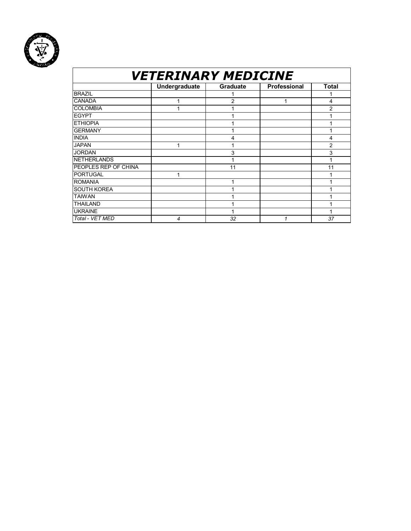

## *VETERINARY MEDICINE*

|                      | Undergraduate | Graduate | Professional | <b>Total</b> |
|----------------------|---------------|----------|--------------|--------------|
| <b>BRAZIL</b>        |               |          |              |              |
| <b>CANADA</b>        |               | 2        | 1            | 4            |
| <b>COLOMBIA</b>      |               |          |              | 2            |
| <b>EGYPT</b>         |               |          |              |              |
| <b>ETHIOPIA</b>      |               |          |              |              |
| <b>GERMANY</b>       |               |          |              |              |
| <b>INDIA</b>         |               | 4        |              | 4            |
| <b>JAPAN</b>         |               |          |              | 2            |
| <b>JORDAN</b>        |               | 3        |              | 3            |
| <b>NETHERLANDS</b>   |               |          |              |              |
| PEOPLES REP OF CHINA |               | 11       |              | 11           |
| PORTUGAL             |               |          |              |              |
| <b>ROMANIA</b>       |               | 1        |              |              |
| <b>SOUTH KOREA</b>   |               |          |              |              |
| <b>TAIWAN</b>        |               |          |              |              |
| <b>THAILAND</b>      |               |          |              |              |
| <b>UKRAINE</b>       |               |          |              |              |
| Total - VET MED      | 4             | 32       | 1            | 37           |
|                      |               |          |              |              |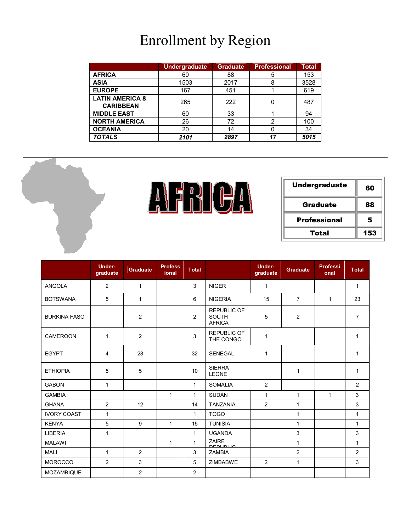## Enrollment by Region

|                                                | <b>Undergraduate</b> | <b>Graduate</b> | <b>Professional</b> | <b>Total</b> |
|------------------------------------------------|----------------------|-----------------|---------------------|--------------|
| <b>AFRICA</b>                                  | 60                   | 88              | 5                   | 153          |
| <b>ASIA</b>                                    | 1503                 | 2017            | 8                   | 3528         |
| <b>EUROPE</b>                                  | 167                  | 451             |                     | 619          |
| <b>LATIN AMERICA &amp;</b><br><b>CARIBBEAN</b> | 265                  | 222             |                     | 487          |
| <b>MIDDLE EAST</b>                             | 60                   | 33              |                     | 94           |
| <b>NORTH AMERICA</b>                           | 26                   | 72              | 2                   | 100          |
| <b>OCEANIA</b>                                 | 20                   | 14              |                     | 34           |
| <b>TOTALS</b>                                  | 2101                 | 2897            | 17                  | 5015         |





| <b>Undergraduate</b> | 60  |
|----------------------|-----|
| Graduate             | 88  |
| <b>Professional</b>  | 5   |
| Total                | 153 |

|                     | <b>Under-</b><br>graduate | <b>Graduate</b> | <b>Profess</b><br>ional | <b>Total</b>   |                                                     | <b>Under-</b><br>graduate | <b>Graduate</b> | <b>Professi</b><br>onal | <b>Total</b>   |
|---------------------|---------------------------|-----------------|-------------------------|----------------|-----------------------------------------------------|---------------------------|-----------------|-------------------------|----------------|
| <b>ANGOLA</b>       | 2                         | $\mathbf{1}$    |                         | 3              | <b>NIGER</b>                                        | $\mathbf{1}$              |                 |                         | $\mathbf{1}$   |
| <b>BOTSWANA</b>     | 5                         | $\mathbf{1}$    |                         | 6              | <b>NIGERIA</b>                                      | 15                        | $\overline{7}$  | $\mathbf{1}$            | 23             |
| <b>BURKINA FASO</b> |                           | 2               |                         | $\overline{2}$ | <b>REPUBLIC OF</b><br><b>SOUTH</b><br><b>AFRICA</b> | 5                         | 2               |                         | $\overline{7}$ |
| <b>CAMEROON</b>     | $\mathbf{1}$              | $\overline{2}$  |                         | 3              | <b>REPUBLIC OF</b><br>THE CONGO                     | $\mathbf{1}$              |                 |                         | $\mathbf{1}$   |
| <b>EGYPT</b>        | 4                         | 28              |                         | 32             | <b>SENEGAL</b>                                      | $\mathbf{1}$              |                 |                         | 1              |
| <b>ETHIOPIA</b>     | 5                         | 5               |                         | 10             | <b>SIERRA</b><br><b>LEONE</b>                       |                           | $\mathbf{1}$    |                         | 1              |
| <b>GABON</b>        | 1                         |                 |                         | $\mathbf{1}$   | <b>SOMALIA</b>                                      | 2                         |                 |                         | 2              |
| <b>GAMBIA</b>       |                           |                 | $\mathbf{1}$            | $\mathbf{1}$   | <b>SUDAN</b>                                        | $\mathbf{1}$              | $\mathbf{1}$    | $\mathbf{1}$            | 3              |
| <b>GHANA</b>        | $\overline{c}$            | 12              |                         | 14             | <b>TANZANIA</b>                                     | $\overline{2}$            | $\mathbf{1}$    |                         | 3              |
| <b>IVORY COAST</b>  | $\mathbf{1}$              |                 |                         | $\mathbf 1$    | <b>TOGO</b>                                         |                           | $\mathbf{1}$    |                         | $\mathbf{1}$   |
| <b>KENYA</b>        | 5                         | 9               | $\mathbf{1}$            | 15             | <b>TUNISIA</b>                                      |                           | $\mathbf{1}$    |                         | $\mathbf{1}$   |
| <b>LIBERIA</b>      | $\mathbf{1}$              |                 |                         | $\mathbf{1}$   | <b>UGANDA</b>                                       |                           | 3               |                         | 3              |
| <b>MALAWI</b>       |                           |                 | $\mathbf{1}$            | $\mathbf{1}$   | <b>ZAIRE</b><br>DE <u>DUDLIO</u>                    |                           | $\mathbf{1}$    |                         | $\mathbf{1}$   |
| <b>MALI</b>         | $\mathbf{1}$              | $\overline{2}$  |                         | 3              | <b>ZAMBIA</b>                                       |                           | $\overline{2}$  |                         | $\overline{2}$ |
| <b>MOROCCO</b>      | $\overline{2}$            | 3               |                         | 5              | <b>ZIMBABWE</b>                                     | $\overline{2}$            | $\mathbf{1}$    |                         | 3              |
| MOZAMBIQUE          |                           | 2               |                         | $\overline{2}$ |                                                     |                           |                 |                         |                |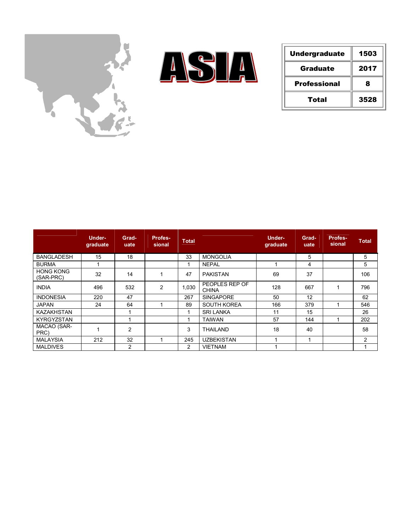



| <b>Undergraduate</b> | 1503 |
|----------------------|------|
| Graduate             | 2017 |
| <b>Professional</b>  | 8    |
| Total                | 3528 |

|                               | Under-<br>graduate | Grad-<br>uate  | <b>Profes-</b><br>sional | <b>Total</b> |                                | Under-<br>graduate | Grad-<br>uate | <b>Profes-</b><br>sional | <b>Total</b>   |
|-------------------------------|--------------------|----------------|--------------------------|--------------|--------------------------------|--------------------|---------------|--------------------------|----------------|
| <b>BANGLADESH</b>             | 15                 | 18             |                          | 33           | <b>MONGOLIA</b>                |                    | 5             |                          | 5              |
| <b>BURMA</b>                  |                    |                |                          |              | <b>NEPAL</b>                   |                    | 4             |                          | 5              |
| <b>HONG KONG</b><br>(SAR-PRC) | 32                 | 14             |                          | 47           | <b>PAKISTAN</b>                | 69                 | 37            |                          | 106            |
| <b>INDIA</b>                  | 496                | 532            | 2                        | 1,030        | PEOPLES REP OF<br><b>CHINA</b> | 128                | 667           |                          | 796            |
| <b>INDONESIA</b>              | 220                | 47             |                          | 267          | <b>SINGAPORE</b>               | 50                 | 12            |                          | 62             |
| <b>JAPAN</b>                  | 24                 | 64             |                          | 89           | <b>SOUTH KOREA</b>             | 166                | 379           |                          | 546            |
| <b>KAZAKHSTAN</b>             |                    |                |                          |              | <b>SRI LANKA</b>               | 11                 | 15            |                          | 26             |
| <b>KYRGYZSTAN</b>             |                    |                |                          |              | <b>TAIWAN</b>                  | 57                 | 144           |                          | 202            |
| MACAO (SAR-<br>PRC)           |                    | $\overline{2}$ |                          | 3            | <b>THAILAND</b>                | 18                 | 40            |                          | 58             |
| <b>MALAYSIA</b>               | 212                | 32             |                          | 245          | <b>UZBEKISTAN</b>              |                    |               |                          | $\overline{2}$ |
| <b>MALDIVES</b>               |                    | $\overline{2}$ |                          | 2            | <b>VIETNAM</b>                 |                    |               |                          | 4              |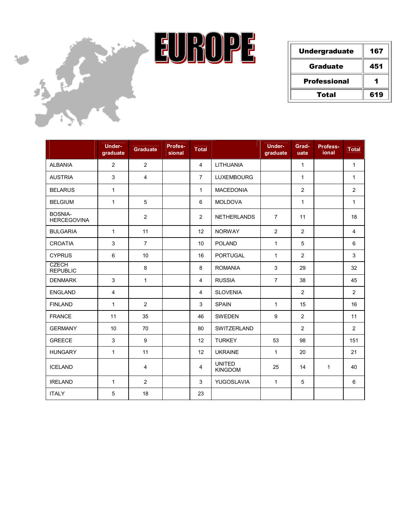

| <b>Undergraduate</b> | 167 |
|----------------------|-----|
| Graduate             | 451 |
| <b>Professional</b>  |     |
| Total                | 619 |

|                                      | Under-<br>graduate | <b>Graduate</b> | Profes-<br>sional | <b>Total</b>   |                                 | <b>Under-</b><br>graduate | Grad-<br>uate  | Profess-<br>ional | <b>Total</b>   |
|--------------------------------------|--------------------|-----------------|-------------------|----------------|---------------------------------|---------------------------|----------------|-------------------|----------------|
| <b>ALBANIA</b>                       | $\overline{2}$     | 2               |                   | $\overline{4}$ | <b>LITHUANIA</b>                |                           | $\mathbf{1}$   |                   | $\mathbf{1}$   |
| <b>AUSTRIA</b>                       | 3                  | $\overline{4}$  |                   | $\overline{7}$ | <b>LUXEMBOURG</b>               |                           | $\mathbf{1}$   |                   | $\mathbf{1}$   |
| <b>BELARUS</b>                       | $\mathbf{1}$       |                 |                   | $\mathbf{1}$   | <b>MACEDONIA</b>                |                           | $\overline{2}$ |                   | $\overline{2}$ |
| <b>BELGIUM</b>                       | $\mathbf{1}$       | 5               |                   | 6              | <b>MOLDOVA</b>                  |                           | $\mathbf{1}$   |                   | $\mathbf{1}$   |
| <b>BOSNIA-</b><br><b>HERCEGOVINA</b> |                    | $\overline{2}$  |                   | 2              | <b>NETHERLANDS</b>              | $\overline{7}$            | 11             |                   | 18             |
| <b>BULGARIA</b>                      | $\mathbf{1}$       | 11              |                   | 12             | <b>NORWAY</b>                   | 2                         | $\overline{2}$ |                   | $\overline{4}$ |
| <b>CROATIA</b>                       | 3                  | $\overline{7}$  |                   | 10             | <b>POLAND</b>                   | $\mathbf{1}$              | 5              |                   | 6              |
| <b>CYPRUS</b>                        | 6                  | 10              |                   | 16             | <b>PORTUGAL</b>                 | $\mathbf{1}$              | $\overline{c}$ |                   | 3              |
| <b>CZECH</b><br><b>REPUBLIC</b>      |                    | 8               |                   | 8              | <b>ROMANIA</b>                  | 3                         | 29             |                   | 32             |
| <b>DENMARK</b>                       | 3                  | $\mathbf{1}$    |                   | $\overline{4}$ | <b>RUSSIA</b>                   | $\overline{7}$            | 38             |                   | 45             |
| <b>ENGLAND</b>                       | $\overline{4}$     |                 |                   | $\overline{4}$ | <b>SLOVENIA</b>                 |                           | 2              |                   | $\overline{2}$ |
| <b>FINLAND</b>                       | $\mathbf{1}$       | $\overline{2}$  |                   | 3              | <b>SPAIN</b>                    | $\mathbf{1}$              | 15             |                   | 16             |
| <b>FRANCE</b>                        | 11                 | 35              |                   | 46             | SWEDEN                          | 9                         | $\overline{2}$ |                   | 11             |
| <b>GERMANY</b>                       | 10                 | 70              |                   | 80             | <b>SWITZERLAND</b>              |                           | $\overline{2}$ |                   | $\overline{2}$ |
| <b>GREECE</b>                        | 3                  | 9               |                   | 12             | <b>TURKEY</b>                   | 53                        | 98             |                   | 151            |
| <b>HUNGARY</b>                       | $\mathbf{1}$       | 11              |                   | 12             | <b>UKRAINE</b>                  | $\mathbf{1}$              | 20             |                   | 21             |
| <b>ICELAND</b>                       |                    | $\overline{4}$  |                   | $\overline{4}$ | <b>UNITED</b><br><b>KINGDOM</b> | 25                        | 14             | $\mathbf{1}$      | 40             |
| <b>IRELAND</b>                       | $\mathbf{1}$       | $\overline{2}$  |                   | 3              | YUGOSLAVIA                      | $\mathbf{1}$              | 5              |                   | 6              |
| <b>ITALY</b>                         | 5                  | 18              |                   | 23             |                                 |                           |                |                   |                |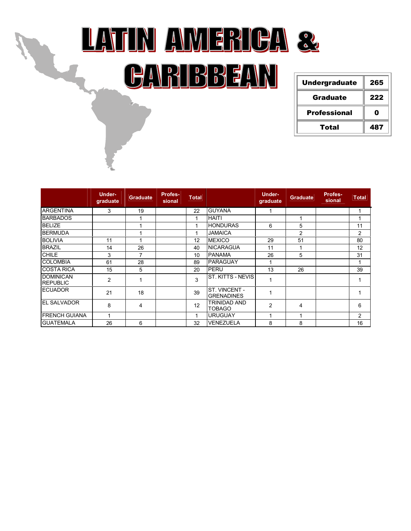

| <b>Undergraduate</b> | 265 |
|----------------------|-----|
| Graduate             | 222 |
| <b>Professional</b>  | n   |
| Total                | 487 |

|                                     | <b>Under-</b><br>graduate | <b>Graduate</b> | Profes-<br>sional | <b>Total</b> |                                      | <b>Under-</b><br>graduate | <b>Graduate</b> | Profes-<br>sional | <b>Total</b>   |
|-------------------------------------|---------------------------|-----------------|-------------------|--------------|--------------------------------------|---------------------------|-----------------|-------------------|----------------|
| <b>ARGENTINA</b>                    | 3                         | 19              |                   | 22           | <b>GUYANA</b>                        |                           |                 |                   |                |
| <b>BARBADOS</b>                     |                           |                 |                   |              | <b>HAITI</b>                         |                           |                 |                   |                |
| <b>BELIZE</b>                       |                           |                 |                   |              | <b>HONDURAS</b>                      | 6                         | 5               |                   | 11             |
| <b>BERMUDA</b>                      |                           |                 |                   |              | <b>JAMAICA</b>                       |                           | 2               |                   | $\overline{c}$ |
| <b>BOLIVIA</b>                      | 11                        |                 |                   | 12           | <b>MEXICO</b>                        | 29                        | 51              |                   | 80             |
| <b>BRAZIL</b>                       | 14                        | 26              |                   | 40           | <b>NICARAGUA</b>                     | 11                        |                 |                   | 12             |
| <b>CHILE</b>                        | 3                         | 7               |                   | 10           | <b>PANAMA</b>                        | 26                        | 5               |                   | 31             |
| <b>COLOMBIA</b>                     | 61                        | 28              |                   | 89           | <b>PARAGUAY</b>                      | 1                         |                 |                   |                |
| <b>ICOSTA RICA</b>                  | 15                        | 5               |                   | 20           | PERU                                 | 13                        | 26              |                   | 39             |
| <b>DOMINICAN</b><br><b>REPUBLIC</b> | $\overline{2}$            |                 |                   | 3            | <b>ST. KITTS - NEVIS</b>             | 1                         |                 |                   |                |
| <b>ECUADOR</b>                      | 21                        | 18              |                   | 39           | ST. VINCENT -<br><b>GRENADINES</b>   | 1                         |                 |                   |                |
| <b>IEL SALVADOR</b>                 | 8                         | 4               |                   | 12           | <b>TRINIDAD AND</b><br><b>TOBAGO</b> | $\overline{c}$            | 4               |                   | 6              |
| <b>IFRENCH GUIANA</b>               | 4                         |                 |                   | 1            | <b>URUGUAY</b>                       | 1                         |                 |                   | 2              |
| <b>GUATEMALA</b>                    | 26                        | 6               |                   | 32           | <b>VENEZUELA</b>                     | 8                         | 8               |                   | 16             |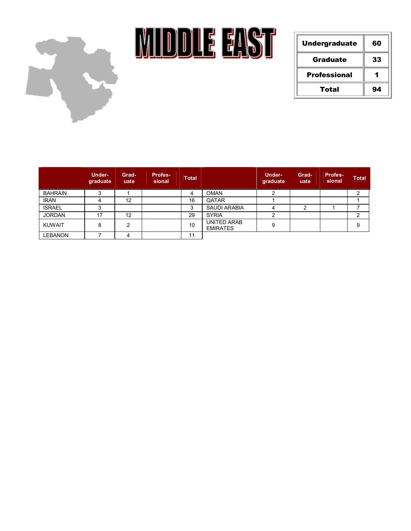

**MIDDLE EAST** 

| <b>Undergraduate</b> | 60 |
|----------------------|----|
| Graduate             | 33 |
| <b>Professional</b>  |    |
| Total                | 94 |

|                | Under-<br>graduate | Grad-<br>uate | <b>Profes-</b><br>sional | <b>Total</b> |                                       | <b>Under-</b><br>graduate | Grad-<br>uate | <b>Profes-</b><br>sional | <b>Total</b> |
|----------------|--------------------|---------------|--------------------------|--------------|---------------------------------------|---------------------------|---------------|--------------------------|--------------|
| <b>BAHRAIN</b> | ◠                  |               |                          | 4            | <b>OMAN</b>                           | ົ                         |               |                          |              |
| <b>IRAN</b>    | Δ                  | 12            |                          | 16           | QATAR                                 |                           |               |                          |              |
| <b>ISRAEL</b>  | ົ                  |               |                          | 3            | <b>SAUDI ARABIA</b>                   |                           | ົ             |                          |              |
| <b>JORDAN</b>  | 17                 | 12            |                          | 29           | <b>SYRIA</b>                          |                           |               |                          |              |
| <b>KUWAIT</b>  | 8                  | ົ             |                          | 10           | <b>UNITED ARAB</b><br><b>EMIRATES</b> | 9                         |               |                          |              |
| <b>LEBANON</b> |                    | 4             |                          | 11           |                                       |                           |               |                          |              |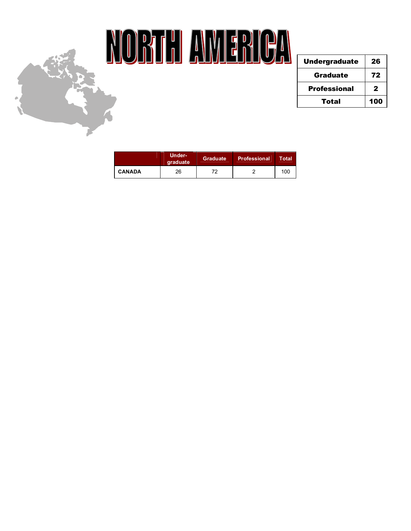

## NORTH AMERICA

| <b>Undergraduate</b> | 26  |
|----------------------|-----|
| Graduate             | 72  |
| <b>Professional</b>  | 2   |
| Total                | 100 |

|               | Under-<br>graduate | Graduate | <b>Professional</b> | Total |
|---------------|--------------------|----------|---------------------|-------|
| <b>CANADA</b> | 26                 | 79       |                     | 100   |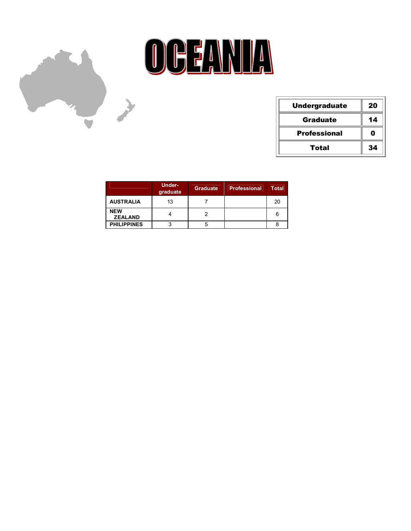



| <b>Undergraduate</b> | 20          |
|----------------------|-------------|
| <b>Graduate</b>      | 14          |
| <b>Professional</b>  | $\mathbf 0$ |
| Total                | 34          |

|                              | Under-<br>graduate | Graduate | <b>Professional</b> | Total |
|------------------------------|--------------------|----------|---------------------|-------|
| <b>AUSTRALIA</b>             | 13                 |          |                     | 20    |
| <b>NEW</b><br><b>ZEALAND</b> |                    |          |                     | 6     |
| <b>PHILIPPINES</b>           |                    |          |                     |       |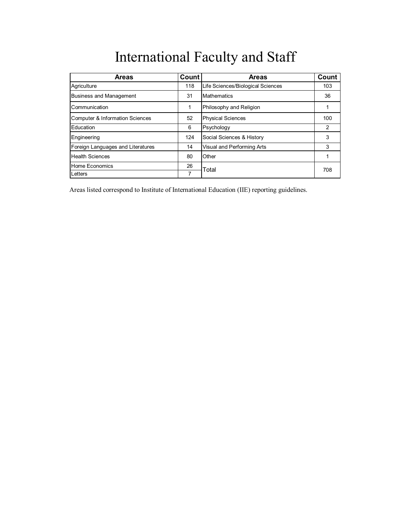## International Faculty and Staff

| <b>Areas</b>                      | Count | <b>Areas</b>                      | Count |
|-----------------------------------|-------|-----------------------------------|-------|
| Agriculture                       | 118   | Life Sciences/Biological Sciences | 103   |
| <b>Business and Management</b>    | 31    | <b>Mathematics</b>                | 36    |
| Communication                     | 1     | Philosophy and Religion           |       |
| Computer & Information Sciences   | 52    | <b>Physical Sciences</b>          | 100   |
| Education                         | 6     | Psychology                        | 2     |
| Engineering                       | 124   | Social Sciences & History         | 3     |
| Foreign Languages and Literatures | 14    | Visual and Performing Arts        | 3     |
| <b>Health Sciences</b>            | 80    | Other                             |       |
| Home Economics                    | 26    | Total                             | 708   |
| Letters                           | 7     |                                   |       |

Areas listed correspond to Institute of International Education (IIE) reporting guidelines.